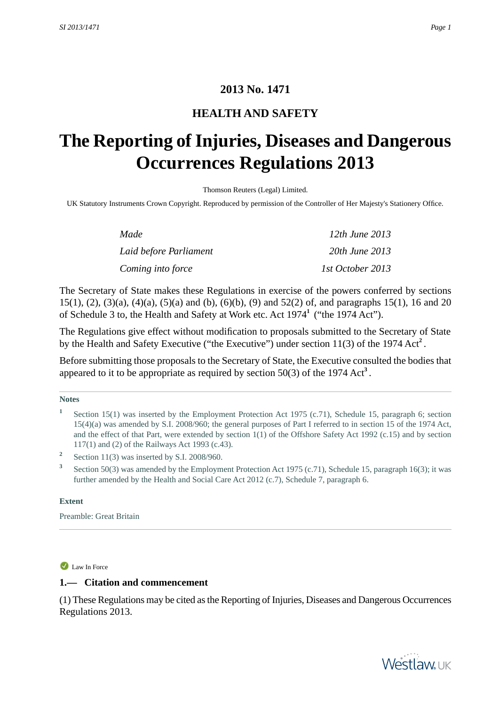# **2013 No. 1471**

# **HEALTH AND SAFETY**

# **The Reporting of Injuries, Diseases and Dangerous Occurrences Regulations 2013**

Thomson Reuters (Legal) Limited.

UK Statutory Instruments Crown Copyright. Reproduced by permission of the Controller of Her Majesty's Stationery Office.

| Made                   | $12th$ June $2013$ |
|------------------------|--------------------|
| Laid before Parliament | $20th$ June $2013$ |
| Coming into force      | 1st October 2013   |

The Secretary of State makes these Regulations in exercise of the powers conferred by sections 15(1), (2), (3)(a), (4)(a), (5)(a) and (b), (6)(b), (9) and 52(2) of, and paragraphs 15(1), 16 and 20 of Schedule 3 to, the Health and Safety at Work etc. Act 1974**<sup>1</sup>** ("the 1974 Act").

The Regulations give effect without modification to proposals submitted to the Secretary of State by the Health and Safety Executive ("the Executive") under section 11(3) of the 1974 Act<sup>2</sup>.

Before submitting those proposals to the Secretary of State, the Executive consulted the bodies that appeared to it to be appropriate as required by section  $50(3)$  of the 1974 Act<sup>3</sup>.

### **Notes**

### **Extent**

Preamble: Great Britain

Law In Force

### **1.— Citation and commencement**

(1) These Regulations may be cited as the Reporting of Injuries, Diseases and Dangerous Occurrences Regulations 2013.



**<sup>1</sup>** Section 15(1) was inserted by the Employment Protection Act 1975 (c.71), Schedule 15, paragraph 6; section 15(4)(a) was amended by S.I. 2008/960; the general purposes of Part I referred to in section 15 of the 1974 Act, and the effect of that Part, were extended by section 1(1) of the Offshore Safety Act 1992 (c.15) and by section 117(1) and (2) of the Railways Act 1993 (c.43).

**<sup>2</sup>** Section 11(3) was inserted by S.I. 2008/960.

**<sup>3</sup>** Section 50(3) was amended by the Employment Protection Act 1975 (c.71), Schedule 15, paragraph 16(3); it was further amended by the Health and Social Care Act 2012 (c.7), Schedule 7, paragraph 6.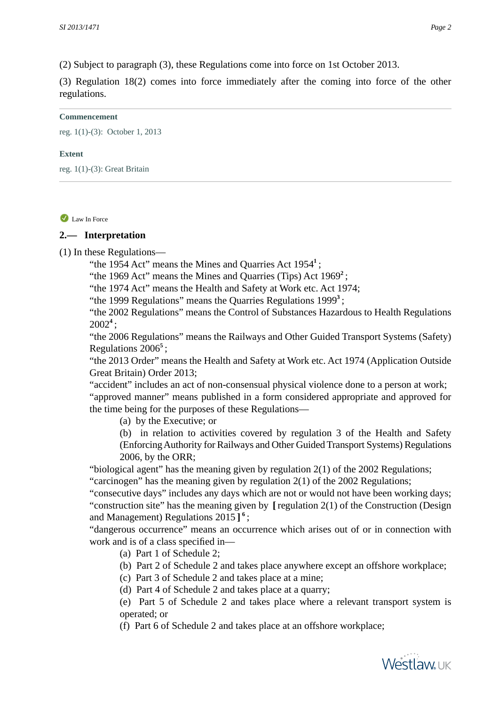(2) Subject to paragraph (3), these Regulations come into force on 1st October 2013.

(3) Regulation 18(2) comes into force immediately after the coming into force of the other regulations.

#### **Commencement**

reg. 1(1)-(3): October 1, 2013

### **Extent**

reg. 1(1)-(3): Great Britain

Law In Force

### **2.— Interpretation**

(1) In these Regulations—

"the 1954 Act" means the Mines and Quarries Act 1954**<sup>1</sup>** ;

"the 1969 Act" means the Mines and Quarries (Tips) Act 1969<sup>2</sup>;

"the 1974 Act" means the Health and Safety at Work etc. Act 1974;

"the 1999 Regulations" means the Quarries Regulations 1999**<sup>3</sup>** ;

"the 2002 Regulations" means the Control of Substances Hazardous to Health Regulations 2002**<sup>4</sup>** ;

"the 2006 Regulations" means the Railways and Other Guided Transport Systems (Safety) Regulations 2006**<sup>5</sup>** ;

"the 2013 Order" means the Health and Safety at Work etc. Act 1974 (Application Outside Great Britain) Order 2013;

"accident" includes an act of non-consensual physical violence done to a person at work; "approved manner" means published in a form considered appropriate and approved for the time being for the purposes of these Regulations—

(a) by the Executive; or

(b) in relation to activities covered by regulation 3 of the Health and Safety (Enforcing Authority for Railways and Other Guided Transport Systems) Regulations 2006, by the ORR;

"biological agent" has the meaning given by regulation 2(1) of the 2002 Regulations; "carcinogen" has the meaning given by regulation 2(1) of the 2002 Regulations;

"consecutive days" includes any days which are not or would not have been working days; "construction site" has the meaning given by **[** regulation 2(1) of the Construction (Design and Management) Regulations 2015 **] 6** ;

"dangerous occurrence" means an occurrence which arises out of or in connection with work and is of a class specified in—

(a) Part 1 of Schedule 2;

(b) Part 2 of Schedule 2 and takes place anywhere except an offshore workplace;

(c) Part 3 of Schedule 2 and takes place at a mine;

(d) Part 4 of Schedule 2 and takes place at a quarry;

(e) Part 5 of Schedule 2 and takes place where a relevant transport system is operated; or

(f) Part 6 of Schedule 2 and takes place at an offshore workplace;

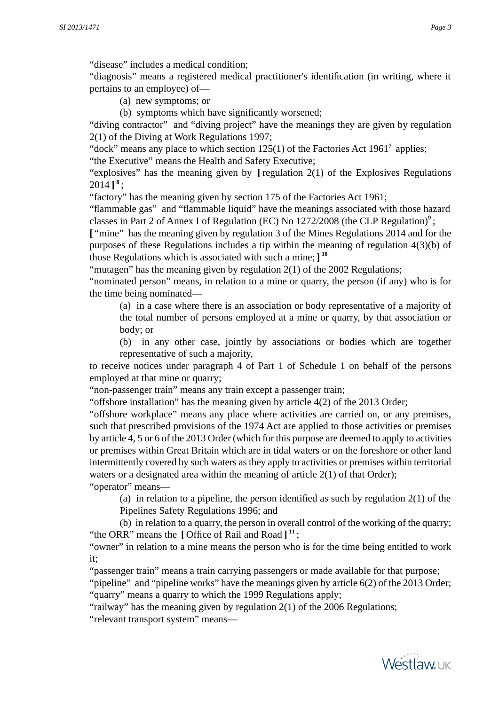"disease" includes a medical condition;

"diagnosis" means a registered medical practitioner's identification (in writing, where it pertains to an employee) of—

(a) new symptoms; or

(b) symptoms which have significantly worsened;

"diving contractor" and "diving project" have the meanings they are given by regulation 2(1) of the Diving at Work Regulations 1997;

"dock" means any place to which section  $125(1)$  of the Factories Act  $1961<sup>7</sup>$  applies;

"the Executive" means the Health and Safety Executive;

"explosives" has the meaning given by **[** regulation 2(1) of the Explosives Regulations 2014 **] 8** ;

"factory" has the meaning given by section 175 of the Factories Act 1961;

"flammable gas" and "flammable liquid" have the meanings associated with those hazard classes in Part 2 of Annex I of Regulation (EC) No 1272/2008 (the CLP Regulation)**<sup>9</sup>** ;

**[** "mine" has the meaning given by regulation 3 of the Mines Regulations 2014 and for the purposes of these Regulations includes a tip within the meaning of regulation 4(3)(b) of those Regulations which is associated with such a mine; **] 10**

"mutagen" has the meaning given by regulation 2(1) of the 2002 Regulations;

"nominated person" means, in relation to a mine or quarry, the person (if any) who is for the time being nominated—

(a) in a case where there is an association or body representative of a majority of the total number of persons employed at a mine or quarry, by that association or body; or

(b) in any other case, jointly by associations or bodies which are together representative of such a majority,

to receive notices under paragraph 4 of Part 1 of Schedule 1 on behalf of the persons employed at that mine or quarry;

"non-passenger train" means any train except a passenger train;

"offshore installation" has the meaning given by article 4(2) of the 2013 Order;

"offshore workplace" means any place where activities are carried on, or any premises, such that prescribed provisions of the 1974 Act are applied to those activities or premises by article 4, 5 or 6 of the 2013 Order (which for this purpose are deemed to apply to activities or premises within Great Britain which are in tidal waters or on the foreshore or other land intermittently covered by such waters as they apply to activities or premises within territorial waters or a designated area within the meaning of article 2(1) of that Order);

"operator" means—

(a) in relation to a pipeline, the person identified as such by regulation  $2(1)$  of the Pipelines Safety Regulations 1996; and

(b) in relation to a quarry, the person in overall control of the working of the quarry; "the ORR" means the **[** Office of Rail and Road **] 11** ;

"owner" in relation to a mine means the person who is for the time being entitled to work it;

"passenger train" means a train carrying passengers or made available for that purpose;

"pipeline" and "pipeline works" have the meanings given by article 6(2) of the 2013 Order; "quarry" means a quarry to which the 1999 Regulations apply;

"railway" has the meaning given by regulation 2(1) of the 2006 Regulations; "relevant transport system" means—

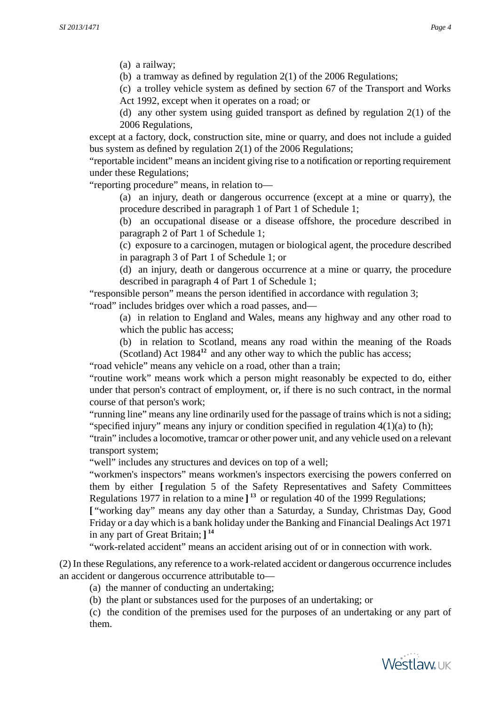(a) a railway;

(b) a tramway as defined by regulation 2(1) of the 2006 Regulations;

(c) a trolley vehicle system as defined by section 67 of the Transport and Works Act 1992, except when it operates on a road; or

(d) any other system using guided transport as defined by regulation 2(1) of the 2006 Regulations,

except at a factory, dock, construction site, mine or quarry, and does not include a guided bus system as defined by regulation 2(1) of the 2006 Regulations;

"reportable incident" means an incident giving rise to a notification or reporting requirement under these Regulations;

"reporting procedure" means, in relation to—

(a) an injury, death or dangerous occurrence (except at a mine or quarry), the procedure described in paragraph 1 of Part 1 of Schedule 1;

(b) an occupational disease or a disease offshore, the procedure described in paragraph 2 of Part 1 of Schedule 1;

(c) exposure to a carcinogen, mutagen or biological agent, the procedure described in paragraph 3 of Part 1 of Schedule 1; or

(d) an injury, death or dangerous occurrence at a mine or quarry, the procedure described in paragraph 4 of Part 1 of Schedule 1;

"responsible person" means the person identified in accordance with regulation 3;

"road" includes bridges over which a road passes, and—

(a) in relation to England and Wales, means any highway and any other road to which the public has access;

(b) in relation to Scotland, means any road within the meaning of the Roads

(Scotland) Act 1984**<sup>12</sup>** and any other way to which the public has access;

"road vehicle" means any vehicle on a road, other than a train;

"routine work" means work which a person might reasonably be expected to do, either under that person's contract of employment, or, if there is no such contract, in the normal course of that person's work;

"running line" means any line ordinarily used for the passage of trains which is not a siding; "specified injury" means any injury or condition specified in regulation 4(1)(a) to (h);

"train" includes a locomotive, tramcar or other power unit, and any vehicle used on a relevant transport system;

"well" includes any structures and devices on top of a well;

"workmen's inspectors" means workmen's inspectors exercising the powers conferred on them by either **[** regulation 5 of the Safety Representatives and Safety Committees Regulations 1977 in relation to a mine **] <sup>13</sup>** or regulation 40 of the 1999 Regulations;

**[** "working day" means any day other than a Saturday, a Sunday, Christmas Day, Good Friday or a day which is a bank holiday under the Banking and Financial Dealings Act 1971 in any part of Great Britain; **] 14**

"work-related accident" means an accident arising out of or in connection with work.

(2) In these Regulations, any reference to a work-related accident or dangerous occurrence includes an accident or dangerous occurrence attributable to—

(a) the manner of conducting an undertaking;

(b) the plant or substances used for the purposes of an undertaking; or

(c) the condition of the premises used for the purposes of an undertaking or any part of them.

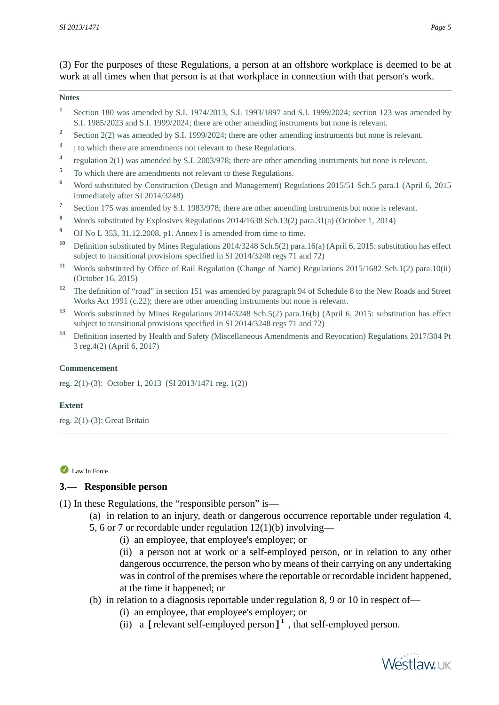# (3) For the purposes of these Regulations, a person at an offshore workplace is deemed to be at work at all times when that person is at that workplace in connection with that person's work.

### **Notes**

- **1** Section 180 was amended by S.I. 1974/2013, S.I. 1993/1897 and S.I. 1999/2024; section 123 was amended by S.I. 1985/2023 and S.I. 1999/2024; there are other amending instruments but none is relevant.
- **2** Section 2(2) was amended by S.I. 1999/2024; there are other amending instruments but none is relevant.
- **3** ; to which there are amendments not relevant to these Regulations.
- **4** regulation 2(1) was amended by S.I. 2003/978; there are other amending instruments but none is relevant.
- <sup>5</sup> To which there are amendments not relevant to these Regulations.
- <sup>6</sup> Word substituted by Construction (Design and Management) Regulations 2015/51 Sch.5 para.1 (April 6, 2015 immediately after SI 2014/3248)
- **7** Section 175 was amended by S.I. 1983/978; there are other amending instruments but none is relevant.
- **<sup>8</sup>** Words substituted by Explosives Regulations 2014/1638 Sch.13(2) para.31(a) (October 1, 2014)
- <sup>9</sup> OJ No L 353, 31.12.2008, p1. Annex I is amended from time to time.
- **<sup>10</sup>** Definition substituted by Mines Regulations 2014/3248 Sch.5(2) para.16(a) (April 6, 2015: substitution has effect subject to transitional provisions specified in SI 2014/3248 regs 71 and 72)
- **<sup>11</sup>** Words substituted by Office of Rail Regulation (Change of Name) Regulations 2015/1682 Sch.1(2) para.10(ii) (October 16, 2015)
- **<sup>12</sup>** The definition of "road" in section 151 was amended by paragraph 94 of Schedule 8 to the New Roads and Street Works Act 1991 (c.22); there are other amending instruments but none is relevant.
- **<sup>13</sup>** Words substituted by Mines Regulations 2014/3248 Sch.5(2) para.16(b) (April 6, 2015: substitution has effect subject to transitional provisions specified in SI 2014/3248 regs 71 and 72)
- **<sup>14</sup>** Definition inserted by Health and Safety (Miscellaneous Amendments and Revocation) Regulations 2017/304 Pt 3 reg.4(2) (April 6, 2017)

### **Commencement**

reg. 2(1)-(3): October 1, 2013 (SI 2013/1471 reg. 1(2))

### **Extent**

reg. 2(1)-(3): Great Britain

### Law In Force

# **3.— Responsible person**

(1) In these Regulations, the "responsible person" is—

- (a) in relation to an injury, death or dangerous occurrence reportable under regulation 4,
- 5, 6 or 7 or recordable under regulation 12(1)(b) involving—
	- (i) an employee, that employee's employer; or

(ii) a person not at work or a self-employed person, or in relation to any other dangerous occurrence, the person who by means of their carrying on any undertaking was in control of the premises where the reportable or recordable incident happened, at the time it happened; or

- (b) in relation to a diagnosis reportable under regulation 8, 9 or 10 in respect of—
	- (i) an employee, that employee's employer; or
		- (ii) a **[** relevant self-employed person **] 1** , that self-employed person.

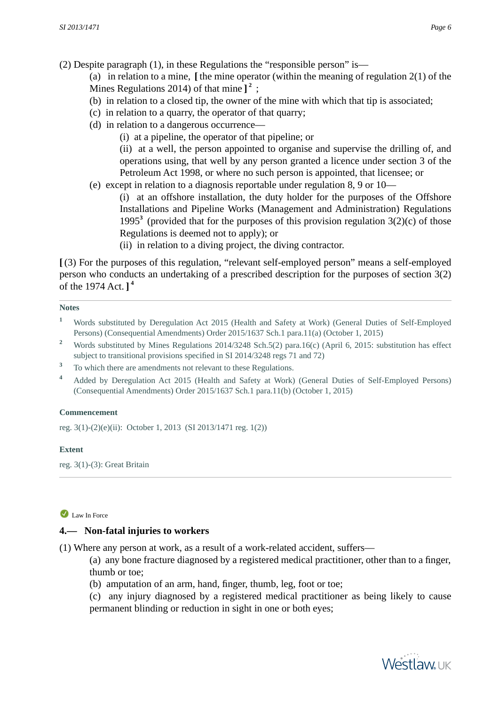(2) Despite paragraph (1), in these Regulations the "responsible person" is—

(a) in relation to a mine, **[** the mine operator (within the meaning of regulation 2(1) of the Mines Regulations 2014) of that mine **] 2** ;

- (b) in relation to a closed tip, the owner of the mine with which that tip is associated;
- (c) in relation to a quarry, the operator of that quarry;
- (d) in relation to a dangerous occurrence—
	- (i) at a pipeline, the operator of that pipeline; or

(ii) at a well, the person appointed to organise and supervise the drilling of, and operations using, that well by any person granted a licence under section 3 of the Petroleum Act 1998, or where no such person is appointed, that licensee; or

(e) except in relation to a diagnosis reportable under regulation 8, 9 or 10—

(i) at an offshore installation, the duty holder for the purposes of the Offshore Installations and Pipeline Works (Management and Administration) Regulations 1995<sup>3</sup> (provided that for the purposes of this provision regulation  $3(2)(c)$  of those Regulations is deemed not to apply); or

(ii) in relation to a diving project, the diving contractor.

**[** (3) For the purposes of this regulation, "relevant self-employed person" means a self-employed person who conducts an undertaking of a prescribed description for the purposes of section 3(2) of the 1974 Act. **] 4**

### **Notes**

- **<sup>2</sup>** Words substituted by Mines Regulations 2014/3248 Sch.5(2) para.16(c) (April 6, 2015: substitution has effect subject to transitional provisions specified in SI 2014/3248 regs 71 and 72)
- <sup>3</sup> To which there are amendments not relevant to these Regulations.
- **<sup>4</sup>** Added by Deregulation Act 2015 (Health and Safety at Work) (General Duties of Self-Employed Persons) (Consequential Amendments) Order 2015/1637 Sch.1 para.11(b) (October 1, 2015)

# **Commencement**

reg. 3(1)-(2)(e)(ii): October 1, 2013 (SI 2013/1471 reg. 1(2))

# **Extent**

reg. 3(1)-(3): Great Britain

# Law In Force

# **4.— Non-fatal injuries to workers**

(1) Where any person at work, as a result of a work-related accident, suffers—

(a) any bone fracture diagnosed by a registered medical practitioner, other than to a finger, thumb or toe;

(b) amputation of an arm, hand, finger, thumb, leg, foot or toe;

(c) any injury diagnosed by a registered medical practitioner as being likely to cause permanent blinding or reduction in sight in one or both eyes;



<sup>&</sup>lt;sup>1</sup> Words substituted by Deregulation Act 2015 (Health and Safety at Work) (General Duties of Self-Employed Persons) (Consequential Amendments) Order 2015/1637 Sch.1 para.11(a) (October 1, 2015)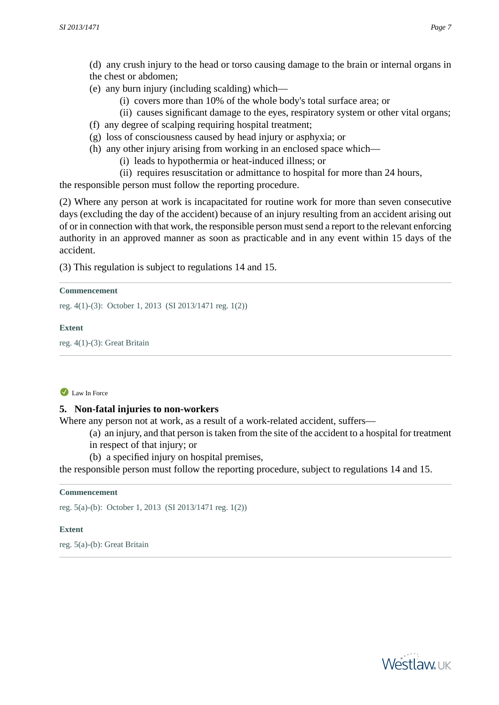- (d) any crush injury to the head or torso causing damage to the brain or internal organs in the chest or abdomen;
- (e) any burn injury (including scalding) which—
	- (i) covers more than 10% of the whole body's total surface area; or
	- (ii) causes significant damage to the eyes, respiratory system or other vital organs;
- (f) any degree of scalping requiring hospital treatment;
- (g) loss of consciousness caused by head injury or asphyxia; or
- (h) any other injury arising from working in an enclosed space which—
	- (i) leads to hypothermia or heat-induced illness; or
- (ii) requires resuscitation or admittance to hospital for more than 24 hours,

the responsible person must follow the reporting procedure.

(2) Where any person at work is incapacitated for routine work for more than seven consecutive days (excluding the day of the accident) because of an injury resulting from an accident arising out of or in connection with that work, the responsible person must send a report to the relevant enforcing authority in an approved manner as soon as practicable and in any event within 15 days of the accident.

(3) This regulation is subject to regulations 14 and 15.

### **Commencement**

reg. 4(1)-(3): October 1, 2013 (SI 2013/1471 reg. 1(2))

### **Extent**

reg. 4(1)-(3): Great Britain

### Law In Force

# **5. Non-fatal injuries to non-workers**

Where any person not at work, as a result of a work-related accident, suffers—

- (a) an injury, and that person is taken from the site of the accident to a hospital for treatment in respect of that injury; or
- (b) a specified injury on hospital premises,

the responsible person must follow the reporting procedure, subject to regulations 14 and 15.

### **Commencement**

reg. 5(a)-(b): October 1, 2013 (SI 2013/1471 reg. 1(2))

### **Extent**

reg. 5(a)-(b): Great Britain

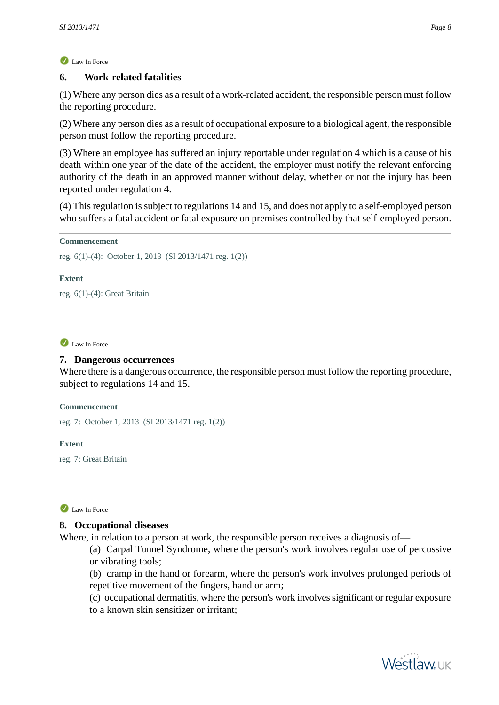# **6.— Work-related fatalities**

(1) Where any person dies as a result of a work-related accident, the responsible person must follow the reporting procedure.

(2) Where any person dies as a result of occupational exposure to a biological agent, the responsible person must follow the reporting procedure.

(3) Where an employee has suffered an injury reportable under regulation 4 which is a cause of his death within one year of the date of the accident, the employer must notify the relevant enforcing authority of the death in an approved manner without delay, whether or not the injury has been reported under regulation 4.

(4) This regulation is subject to regulations 14 and 15, and does not apply to a self-employed person who suffers a fatal accident or fatal exposure on premises controlled by that self-employed person.

### **Commencement**

reg. 6(1)-(4): October 1, 2013 (SI 2013/1471 reg. 1(2))

### **Extent**

reg. 6(1)-(4): Great Britain

Law In Force

# **7. Dangerous occurrences**

Where there is a dangerous occurrence, the responsible person must follow the reporting procedure, subject to regulations 14 and 15.

### **Commencement**

reg. 7: October 1, 2013 (SI 2013/1471 reg. 1(2))

### **Extent**

reg. 7: Great Britain

### Law In Force

# **8. Occupational diseases**

Where, in relation to a person at work, the responsible person receives a diagnosis of—

(a) Carpal Tunnel Syndrome, where the person's work involves regular use of percussive or vibrating tools;

(b) cramp in the hand or forearm, where the person's work involves prolonged periods of repetitive movement of the fingers, hand or arm;

(c) occupational dermatitis, where the person's work involves significant or regular exposure to a known skin sensitizer or irritant;

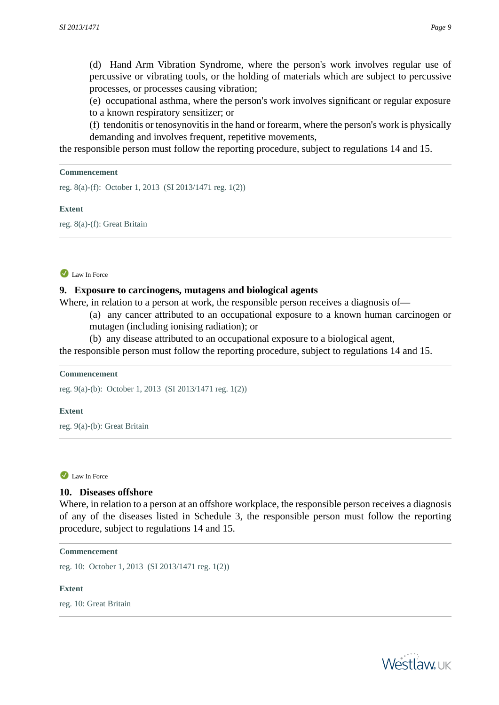(d) Hand Arm Vibration Syndrome, where the person's work involves regular use of percussive or vibrating tools, or the holding of materials which are subject to percussive processes, or processes causing vibration;

(e) occupational asthma, where the person's work involves significant or regular exposure to a known respiratory sensitizer; or

(f) tendonitis or tenosynovitis in the hand or forearm, where the person's work is physically demanding and involves frequent, repetitive movements,

the responsible person must follow the reporting procedure, subject to regulations 14 and 15.

### **Commencement**

reg. 8(a)-(f): October 1, 2013 (SI 2013/1471 reg. 1(2))

### **Extent**

reg. 8(a)-(f): Great Britain

### Law In Force

### **9. Exposure to carcinogens, mutagens and biological agents**

Where, in relation to a person at work, the responsible person receives a diagnosis of—

(a) any cancer attributed to an occupational exposure to a known human carcinogen or mutagen (including ionising radiation); or

(b) any disease attributed to an occupational exposure to a biological agent,

the responsible person must follow the reporting procedure, subject to regulations 14 and 15.

### **Commencement**

reg. 9(a)-(b): October 1, 2013 (SI 2013/1471 reg. 1(2))

#### **Extent**

reg. 9(a)-(b): Great Britain

Law In Force

# **10. Diseases offshore**

Where, in relation to a person at an offshore workplace, the responsible person receives a diagnosis of any of the diseases listed in Schedule 3, the responsible person must follow the reporting procedure, subject to regulations 14 and 15.

### **Commencement**

reg. 10: October 1, 2013 (SI 2013/1471 reg. 1(2))

### **Extent**

reg. 10: Great Britain

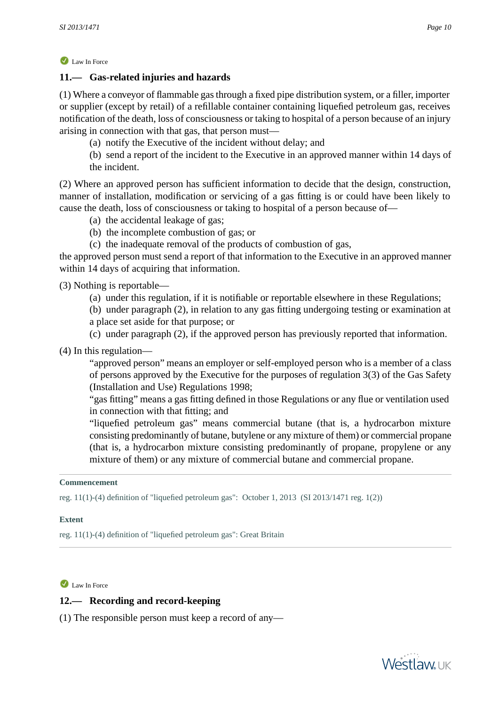# **11.— Gas-related injuries and hazards**

(1) Where a conveyor of flammable gas through a fixed pipe distribution system, or a filler, importer or supplier (except by retail) of a refillable container containing liquefied petroleum gas, receives notification of the death, loss of consciousness or taking to hospital of a person because of an injury arising in connection with that gas, that person must—

(a) notify the Executive of the incident without delay; and

(b) send a report of the incident to the Executive in an approved manner within 14 days of the incident.

(2) Where an approved person has sufficient information to decide that the design, construction, manner of installation, modification or servicing of a gas fitting is or could have been likely to cause the death, loss of consciousness or taking to hospital of a person because of—

- (a) the accidental leakage of gas;
- (b) the incomplete combustion of gas; or
- (c) the inadequate removal of the products of combustion of gas,

the approved person must send a report of that information to the Executive in an approved manner within 14 days of acquiring that information.

(3) Nothing is reportable—

- (a) under this regulation, if it is notifiable or reportable elsewhere in these Regulations;
- (b) under paragraph (2), in relation to any gas fitting undergoing testing or examination at
- a place set aside for that purpose; or
- (c) under paragraph (2), if the approved person has previously reported that information.
- (4) In this regulation—

"approved person" means an employer or self-employed person who is a member of a class of persons approved by the Executive for the purposes of regulation 3(3) of the Gas Safety (Installation and Use) Regulations 1998;

"gas fitting" means a gas fitting defined in those Regulations or any flue or ventilation used in connection with that fitting; and

"liquefied petroleum gas" means commercial butane (that is, a hydrocarbon mixture consisting predominantly of butane, butylene or any mixture of them) or commercial propane (that is, a hydrocarbon mixture consisting predominantly of propane, propylene or any mixture of them) or any mixture of commercial butane and commercial propane.

# **Commencement**

reg. 11(1)-(4) definition of "liquefied petroleum gas": October 1, 2013 (SI 2013/1471 reg. 1(2))

# **Extent**

reg. 11(1)-(4) definition of "liquefied petroleum gas": Great Britain

# Law In Force

# **12.— Recording and record-keeping**

(1) The responsible person must keep a record of any—

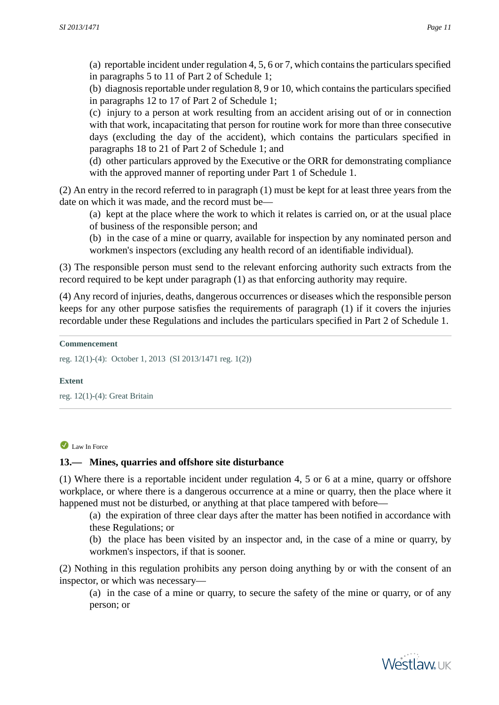(a) reportable incident under regulation 4, 5, 6 or 7, which contains the particulars specified in paragraphs 5 to 11 of Part 2 of Schedule 1;

(b) diagnosis reportable under regulation 8, 9 or 10, which contains the particulars specified in paragraphs 12 to 17 of Part 2 of Schedule 1;

(c) injury to a person at work resulting from an accident arising out of or in connection with that work, incapacitating that person for routine work for more than three consecutive days (excluding the day of the accident), which contains the particulars specified in paragraphs 18 to 21 of Part 2 of Schedule 1; and

(d) other particulars approved by the Executive or the ORR for demonstrating compliance with the approved manner of reporting under Part 1 of Schedule 1.

(2) An entry in the record referred to in paragraph (1) must be kept for at least three years from the date on which it was made, and the record must be—

- (a) kept at the place where the work to which it relates is carried on, or at the usual place of business of the responsible person; and
- (b) in the case of a mine or quarry, available for inspection by any nominated person and workmen's inspectors (excluding any health record of an identifiable individual).

(3) The responsible person must send to the relevant enforcing authority such extracts from the record required to be kept under paragraph (1) as that enforcing authority may require.

(4) Any record of injuries, deaths, dangerous occurrences or diseases which the responsible person keeps for any other purpose satisfies the requirements of paragraph (1) if it covers the injuries recordable under these Regulations and includes the particulars specified in Part 2 of Schedule 1.

# **Commencement**

reg. 12(1)-(4): October 1, 2013 (SI 2013/1471 reg. 1(2))

### **Extent**

reg. 12(1)-(4): Great Britain

# Law In Force

# **13.— Mines, quarries and offshore site disturbance**

(1) Where there is a reportable incident under regulation 4, 5 or 6 at a mine, quarry or offshore workplace, or where there is a dangerous occurrence at a mine or quarry, then the place where it happened must not be disturbed, or anything at that place tampered with before—

(a) the expiration of three clear days after the matter has been notified in accordance with these Regulations; or

(b) the place has been visited by an inspector and, in the case of a mine or quarry, by workmen's inspectors, if that is sooner.

(2) Nothing in this regulation prohibits any person doing anything by or with the consent of an inspector, or which was necessary—

(a) in the case of a mine or quarry, to secure the safety of the mine or quarry, or of any person; or

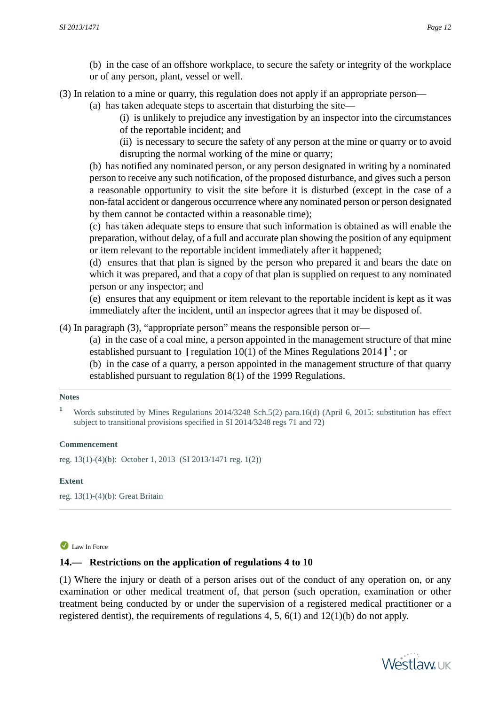(b) in the case of an offshore workplace, to secure the safety or integrity of the workplace or of any person, plant, vessel or well.

- (3) In relation to a mine or quarry, this regulation does not apply if an appropriate person—
	- (a) has taken adequate steps to ascertain that disturbing the site—

(i) is unlikely to prejudice any investigation by an inspector into the circumstances of the reportable incident; and

(ii) is necessary to secure the safety of any person at the mine or quarry or to avoid disrupting the normal working of the mine or quarry;

(b) has notified any nominated person, or any person designated in writing by a nominated person to receive any such notification, of the proposed disturbance, and gives such a person a reasonable opportunity to visit the site before it is disturbed (except in the case of a non-fatal accident or dangerous occurrence where any nominated person or person designated by them cannot be contacted within a reasonable time);

(c) has taken adequate steps to ensure that such information is obtained as will enable the preparation, without delay, of a full and accurate plan showing the position of any equipment or item relevant to the reportable incident immediately after it happened;

(d) ensures that that plan is signed by the person who prepared it and bears the date on which it was prepared, and that a copy of that plan is supplied on request to any nominated person or any inspector; and

(e) ensures that any equipment or item relevant to the reportable incident is kept as it was immediately after the incident, until an inspector agrees that it may be disposed of.

(4) In paragraph (3), "appropriate person" means the responsible person or—

(a) in the case of a coal mine, a person appointed in the management structure of that mine established pursuant to **[** regulation 10(1) of the Mines Regulations 2014 **] 1** ; or

(b) in the case of a quarry, a person appointed in the management structure of that quarry established pursuant to regulation 8(1) of the 1999 Regulations.

### **Notes**

**<sup>1</sup>** Words substituted by Mines Regulations 2014/3248 Sch.5(2) para.16(d) (April 6, 2015: substitution has effect subject to transitional provisions specified in SI 2014/3248 regs 71 and 72)

# **Commencement**

reg. 13(1)-(4)(b): October 1, 2013 (SI 2013/1471 reg. 1(2))

**Extent**

reg. 13(1)-(4)(b): Great Britain

Law In Force

# **14.— Restrictions on the application of regulations 4 to 10**

(1) Where the injury or death of a person arises out of the conduct of any operation on, or any examination or other medical treatment of, that person (such operation, examination or other treatment being conducted by or under the supervision of a registered medical practitioner or a registered dentist), the requirements of regulations 4, 5, 6(1) and 12(1)(b) do not apply.

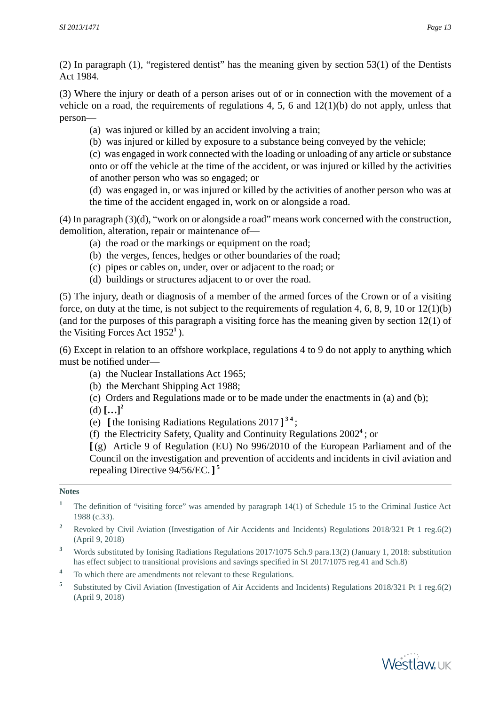(2) In paragraph (1), "registered dentist" has the meaning given by section 53(1) of the Dentists Act 1984.

(3) Where the injury or death of a person arises out of or in connection with the movement of a vehicle on a road, the requirements of regulations 4, 5, 6 and  $12(1)(b)$  do not apply, unless that person—

(a) was injured or killed by an accident involving a train;

(b) was injured or killed by exposure to a substance being conveyed by the vehicle;

(c) was engaged in work connected with the loading or unloading of any article or substance onto or off the vehicle at the time of the accident, or was injured or killed by the activities of another person who was so engaged; or

(d) was engaged in, or was injured or killed by the activities of another person who was at the time of the accident engaged in, work on or alongside a road.

(4) In paragraph (3)(d), "work on or alongside a road" means work concerned with the construction, demolition, alteration, repair or maintenance of—

- (a) the road or the markings or equipment on the road;
- (b) the verges, fences, hedges or other boundaries of the road;
- (c) pipes or cables on, under, over or adjacent to the road; or
- (d) buildings or structures adjacent to or over the road.

(5) The injury, death or diagnosis of a member of the armed forces of the Crown or of a visiting force, on duty at the time, is not subject to the requirements of regulation 4, 6, 8, 9, 10 or 12(1)(b) (and for the purposes of this paragraph a visiting force has the meaning given by section 12(1) of the Visiting Forces Act 1952**<sup>1</sup>** ).

(6) Except in relation to an offshore workplace, regulations 4 to 9 do not apply to anything which must be notified under—

- (a) the Nuclear Installations Act 1965;
- (b) the Merchant Shipping Act 1988;
- (c) Orders and Regulations made or to be made under the enactments in (a) and (b);

(d)  $\left[ \ldots \right]^2$ 

(e) **[** the Ionising Radiations Regulations 2017 **] 3 4** ;

(f) the Electricity Safety, Quality and Continuity Regulations 2002**<sup>4</sup>** ; or

**[** (g) Article 9 of Regulation (EU) No 996/2010 of the European Parliament and of the Council on the investigation and prevention of accidents and incidents in civil aviation and repealing Directive 94/56/EC. **] 5**

# **Notes**

- <sup>1</sup> The definition of "visiting force" was amended by paragraph 14(1) of Schedule 15 to the Criminal Justice Act 1988 (c.33).
- <sup>2</sup> Revoked by Civil Aviation (Investigation of Air Accidents and Incidents) Regulations 2018/321 Pt 1 reg.6(2) (April 9, 2018)
- **<sup>3</sup>** Words substituted by Ionising Radiations Regulations 2017/1075 Sch.9 para.13(2) (January 1, 2018: substitution has effect subject to transitional provisions and savings specified in SI 2017/1075 reg.41 and Sch.8)
- <sup>4</sup> To which there are amendments not relevant to these Regulations.
- **5** Substituted by Civil Aviation (Investigation of Air Accidents and Incidents) Regulations 2018/321 Pt 1 reg.6(2) (April 9, 2018)

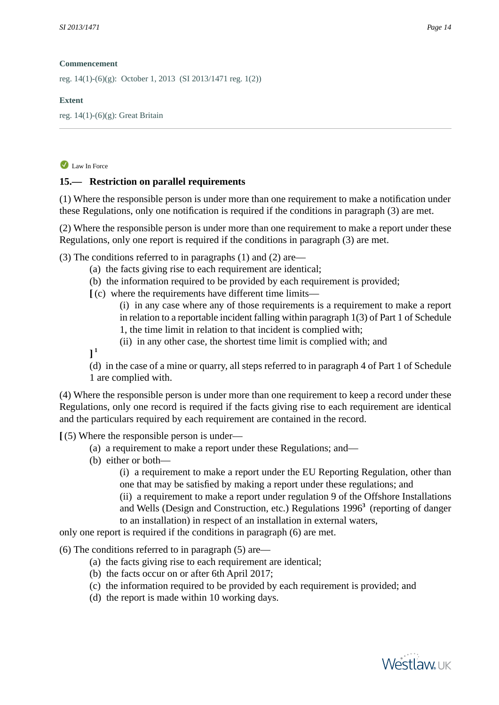reg. 14(1)-(6)(g): October 1, 2013 (SI 2013/1471 reg. 1(2))

### **Extent**

reg. 14(1)-(6)(g): Great Britain

# Law In Force

# **15.— Restriction on parallel requirements**

(1) Where the responsible person is under more than one requirement to make a notification under these Regulations, only one notification is required if the conditions in paragraph (3) are met.

(2) Where the responsible person is under more than one requirement to make a report under these Regulations, only one report is required if the conditions in paragraph (3) are met.

(3) The conditions referred to in paragraphs (1) and (2) are—

- (a) the facts giving rise to each requirement are identical;
- (b) the information required to be provided by each requirement is provided;
- **[** (c) where the requirements have different time limits—

(i) in any case where any of those requirements is a requirement to make a report in relation to a reportable incident falling within paragraph 1(3) of Part 1 of Schedule

- 1, the time limit in relation to that incident is complied with;
- (ii) in any other case, the shortest time limit is complied with; and
- **] 1**

(d) in the case of a mine or quarry, all steps referred to in paragraph 4 of Part 1 of Schedule 1 are complied with.

(4) Where the responsible person is under more than one requirement to keep a record under these Regulations, only one record is required if the facts giving rise to each requirement are identical and the particulars required by each requirement are contained in the record.

**[** (5) Where the responsible person is under—

- (a) a requirement to make a report under these Regulations; and—
- (b) either or both—

(i) a requirement to make a report under the EU Reporting Regulation, other than one that may be satisfied by making a report under these regulations; and

(ii) a requirement to make a report under regulation 9 of the Offshore Installations and Wells (Design and Construction, etc.) Regulations 1996**<sup>3</sup>** (reporting of danger to an installation) in respect of an installation in external waters,

only one report is required if the conditions in paragraph (6) are met.

(6) The conditions referred to in paragraph (5) are—

- (a) the facts giving rise to each requirement are identical;
- (b) the facts occur on or after 6th April 2017;
- (c) the information required to be provided by each requirement is provided; and
- (d) the report is made within 10 working days.

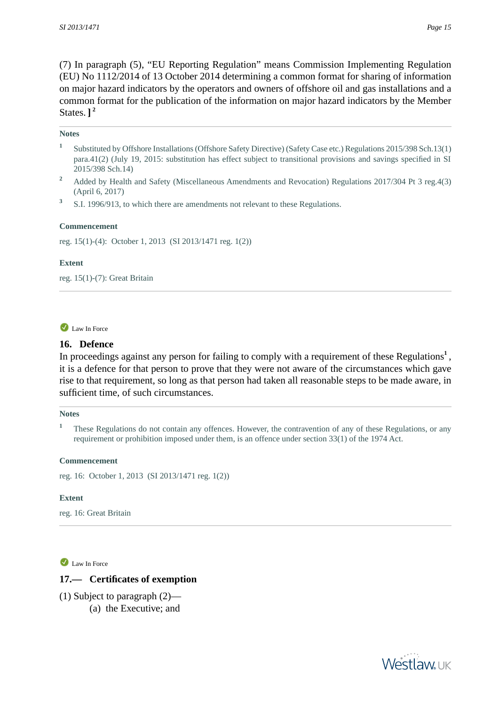(7) In paragraph (5), "EU Reporting Regulation" means Commission Implementing Regulation (EU) No 1112/2014 of 13 October 2014 determining a common format for sharing of information on major hazard indicators by the operators and owners of offshore oil and gas installations and a common format for the publication of the information on major hazard indicators by the Member States. **] 2**

### **Notes**

- **1** Substituted by Offshore Installations (Offshore Safety Directive) (Safety Case etc.) Regulations 2015/398 Sch.13(1) para.41(2) (July 19, 2015: substitution has effect subject to transitional provisions and savings specified in SI 2015/398 Sch.14)
- <sup>2</sup> Added by Health and Safety (Miscellaneous Amendments and Revocation) Regulations 2017/304 Pt 3 reg.4(3) (April 6, 2017)
- **3** S.I. 1996/913, to which there are amendments not relevant to these Regulations.

#### **Commencement**

reg. 15(1)-(4): October 1, 2013 (SI 2013/1471 reg. 1(2))

#### **Extent**

reg. 15(1)-(7): Great Britain

# Law In Force

# **16. Defence**

In proceedings against any person for failing to comply with a requirement of these Regulations<sup>1</sup>, it is a defence for that person to prove that they were not aware of the circumstances which gave rise to that requirement, so long as that person had taken all reasonable steps to be made aware, in sufficient time, of such circumstances.

#### **Notes**

<sup>1</sup> These Regulations do not contain any offences. However, the contravention of any of these Regulations, or any requirement or prohibition imposed under them, is an offence under section 33(1) of the 1974 Act.

#### **Commencement**

reg. 16: October 1, 2013 (SI 2013/1471 reg. 1(2))

#### **Extent**

reg. 16: Great Britain

Law In Force

### **17.— Certificates of exemption**

(1) Subject to paragraph (2)— (a) the Executive; and

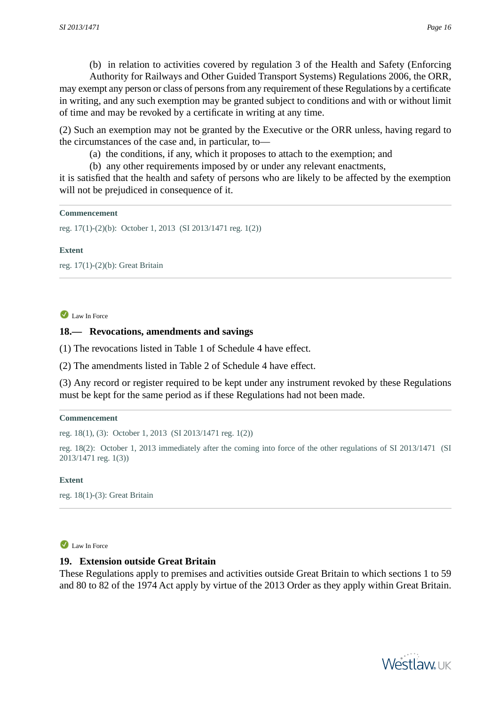(b) in relation to activities covered by regulation 3 of the Health and Safety (Enforcing

Authority for Railways and Other Guided Transport Systems) Regulations 2006, the ORR, may exempt any person or class of persons from any requirement of these Regulations by a certificate in writing, and any such exemption may be granted subject to conditions and with or without limit of time and may be revoked by a certificate in writing at any time.

(2) Such an exemption may not be granted by the Executive or the ORR unless, having regard to the circumstances of the case and, in particular, to—

(a) the conditions, if any, which it proposes to attach to the exemption; and

(b) any other requirements imposed by or under any relevant enactments,

it is satisfied that the health and safety of persons who are likely to be affected by the exemption will not be prejudiced in consequence of it.

### **Commencement**

reg. 17(1)-(2)(b): October 1, 2013 (SI 2013/1471 reg. 1(2))

# **Extent**

reg. 17(1)-(2)(b): Great Britain

### Law In Force

# **18.— Revocations, amendments and savings**

(1) The revocations listed in Table 1 of Schedule 4 have effect.

(2) The amendments listed in Table 2 of Schedule 4 have effect.

(3) Any record or register required to be kept under any instrument revoked by these Regulations must be kept for the same period as if these Regulations had not been made.

### **Commencement**

reg. 18(1), (3): October 1, 2013 (SI 2013/1471 reg. 1(2))

reg. 18(2): October 1, 2013 immediately after the coming into force of the other regulations of SI 2013/1471 (SI 2013/1471 reg. 1(3))

# **Extent**

reg. 18(1)-(3): Great Britain

# Law In Force

# **19. Extension outside Great Britain**

These Regulations apply to premises and activities outside Great Britain to which sections 1 to 59 and 80 to 82 of the 1974 Act apply by virtue of the 2013 Order as they apply within Great Britain.

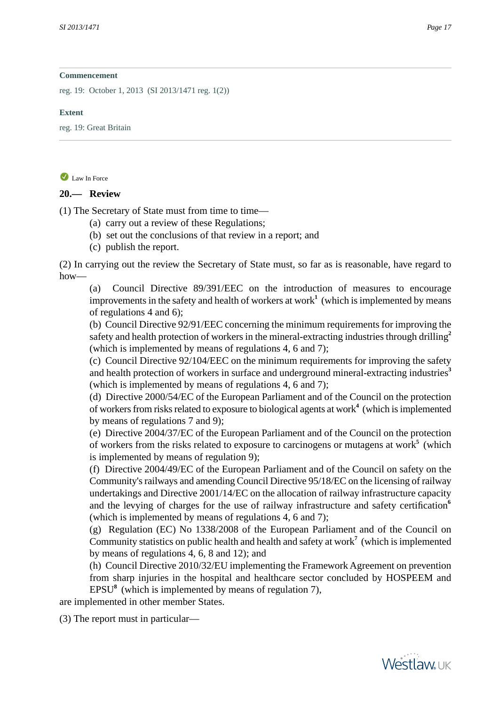reg. 19: October 1, 2013 (SI 2013/1471 reg. 1(2))

### **Extent**

reg. 19: Great Britain

# Law In Force

### **20.— Review**

(1) The Secretary of State must from time to time—

- (a) carry out a review of these Regulations;
- (b) set out the conclusions of that review in a report; and
- (c) publish the report.

(2) In carrying out the review the Secretary of State must, so far as is reasonable, have regard to how—

(a) Council Directive 89/391/EEC on the introduction of measures to encourage improvements in the safety and health of workers at work**<sup>1</sup>** (which is implemented by means of regulations 4 and 6);

(b) Council Directive 92/91/EEC concerning the minimum requirements for improving the safety and health protection of workers in the mineral-extracting industries through drilling**<sup>2</sup>** (which is implemented by means of regulations 4, 6 and 7);

(c) Council Directive 92/104/EEC on the minimum requirements for improving the safety and health protection of workers in surface and underground mineral-extracting industries**<sup>3</sup>** (which is implemented by means of regulations 4, 6 and 7);

(d) Directive 2000/54/EC of the European Parliament and of the Council on the protection of workers from risks related to exposure to biological agents at work**<sup>4</sup>** (which is implemented by means of regulations 7 and 9);

(e) Directive 2004/37/EC of the European Parliament and of the Council on the protection of workers from the risks related to exposure to carcinogens or mutagens at work**<sup>5</sup>** (which is implemented by means of regulation 9);

(f) Directive 2004/49/EC of the European Parliament and of the Council on safety on the Community's railways and amending Council Directive 95/18/EC on the licensing of railway undertakings and Directive 2001/14/EC on the allocation of railway infrastructure capacity and the levying of charges for the use of railway infrastructure and safety certification**<sup>6</sup>** (which is implemented by means of regulations 4, 6 and 7);

(g) Regulation (EC) No 1338/2008 of the European Parliament and of the Council on Community statistics on public health and health and safety at work**<sup>7</sup>** (which is implemented by means of regulations 4, 6, 8 and 12); and

(h) Council Directive 2010/32/EU implementing the Framework Agreement on prevention from sharp injuries in the hospital and healthcare sector concluded by HOSPEEM and EPSU**<sup>8</sup>** (which is implemented by means of regulation 7),

are implemented in other member States.

(3) The report must in particular—

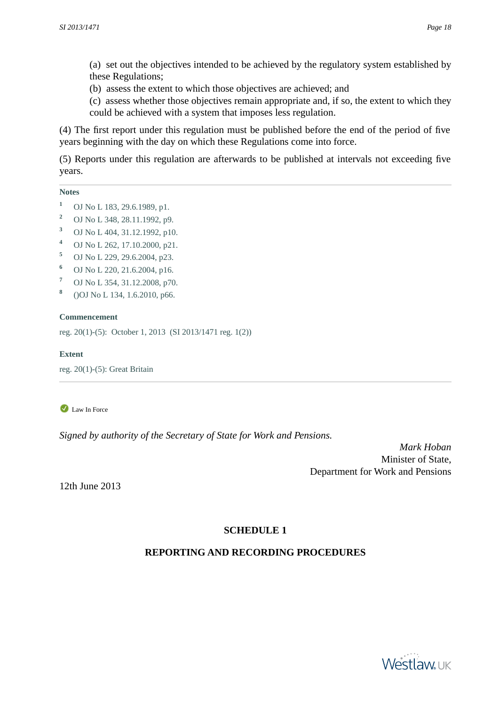(a) set out the objectives intended to be achieved by the regulatory system established by these Regulations;

(b) assess the extent to which those objectives are achieved; and

(c) assess whether those objectives remain appropriate and, if so, the extent to which they could be achieved with a system that imposes less regulation.

(4) The first report under this regulation must be published before the end of the period of five years beginning with the day on which these Regulations come into force.

(5) Reports under this regulation are afterwards to be published at intervals not exceeding five years.

#### **Notes**

- **<sup>1</sup>** OJ No L 183, 29.6.1989, p1.
- **<sup>2</sup>** OJ No L 348, 28.11.1992, p9.
- **<sup>3</sup>** OJ No L 404, 31.12.1992, p10.
- **<sup>4</sup>** OJ No L 262, 17.10.2000, p21.
- **<sup>5</sup>** OJ No L 229, 29.6.2004, p23.
- **<sup>6</sup>** OJ No L 220, 21.6.2004, p16.
- **<sup>7</sup>** OJ No L 354, 31.12.2008, p70.
- **8** ()OJ No L 134, 1.6.2010, p66.

#### **Commencement**

reg. 20(1)-(5): October 1, 2013 (SI 2013/1471 reg. 1(2))

#### **Extent**

reg. 20(1)-(5): Great Britain

Law In Force

*Signed by authority of the Secretary of State for Work and Pensions.*

*Mark Hoban* Minister of State, Department for Work and Pensions

### 12th June 2013

# **SCHEDULE 1**

### **REPORTING AND RECORDING PROCEDURES**

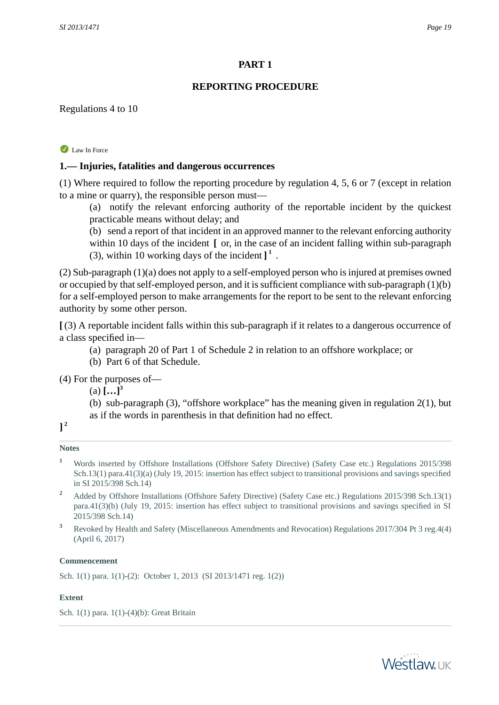# **PART 1**

# **REPORTING PROCEDURE**

Regulations 4 to 10

### Law In Force

# **1.— Injuries, fatalities and dangerous occurrences**

(1) Where required to follow the reporting procedure by regulation 4, 5, 6 or 7 (except in relation to a mine or quarry), the responsible person must—

(a) notify the relevant enforcing authority of the reportable incident by the quickest practicable means without delay; and

(b) send a report of that incident in an approved manner to the relevant enforcing authority within 10 days of the incident  $\int$  or, in the case of an incident falling within sub-paragraph (3), within 10 working days of the incident  $]$ <sup>1</sup>.

(2) Sub-paragraph (1)(a) does not apply to a self-employed person who is injured at premises owned or occupied by that self-employed person, and it is sufficient compliance with sub-paragraph (1)(b) for a self-employed person to make arrangements for the report to be sent to the relevant enforcing authority by some other person.

**[** (3) A reportable incident falls within this sub-paragraph if it relates to a dangerous occurrence of a class specified in—

- (a) paragraph 20 of Part 1 of Schedule 2 in relation to an offshore workplace; or
- (b) Part 6 of that Schedule.

(4) For the purposes of—

 $(a)$   $[...]$ <sup>3</sup>

(b) sub-paragraph (3), "offshore workplace" has the meaning given in regulation 2(1), but as if the words in parenthesis in that definition had no effect.

**] 2**

# **Notes**

- <sup>1</sup> Words inserted by Offshore Installations (Offshore Safety Directive) (Safety Case etc.) Regulations 2015/398 Sch.13(1) para.41(3)(a) (July 19, 2015: insertion has effect subject to transitional provisions and savings specified in SI 2015/398 Sch.14)
- **<sup>2</sup>** Added by Offshore Installations (Offshore Safety Directive) (Safety Case etc.) Regulations 2015/398 Sch.13(1) para.41(3)(b) (July 19, 2015: insertion has effect subject to transitional provisions and savings specified in SI 2015/398 Sch.14)

**<sup>3</sup>** Revoked by Health and Safety (Miscellaneous Amendments and Revocation) Regulations 2017/304 Pt 3 reg.4(4) (April 6, 2017)

### **Commencement**

Sch. 1(1) para. 1(1)-(2): October 1, 2013 (SI 2013/1471 reg. 1(2))

### **Extent**

Sch. 1(1) para. 1(1)-(4)(b): Great Britain

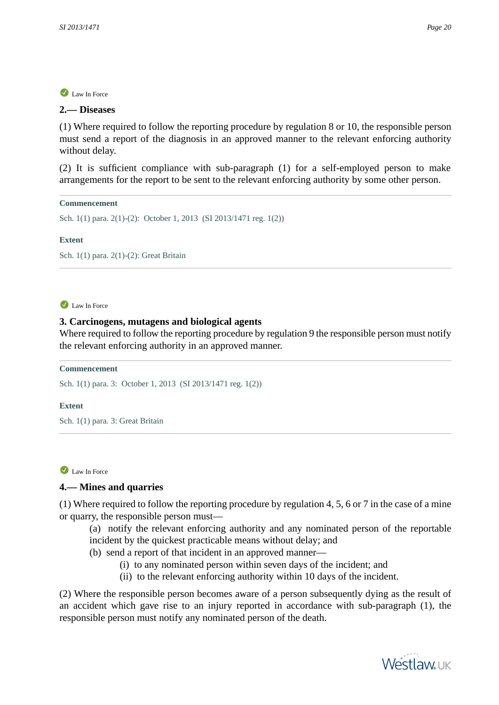# **2.— Diseases**

(1) Where required to follow the reporting procedure by regulation 8 or 10, the responsible person must send a report of the diagnosis in an approved manner to the relevant enforcing authority without delay.

(2) It is sufficient compliance with sub-paragraph (1) for a self-employed person to make arrangements for the report to be sent to the relevant enforcing authority by some other person.

### **Commencement**

Sch. 1(1) para. 2(1)-(2): October 1, 2013 (SI 2013/1471 reg. 1(2))

### **Extent**

Sch. 1(1) para. 2(1)-(2): Great Britain

### Law In Force

# **3. Carcinogens, mutagens and biological agents**

Where required to follow the reporting procedure by regulation 9 the responsible person must notify the relevant enforcing authority in an approved manner.

### **Commencement**

Sch. 1(1) para. 3: October 1, 2013 (SI 2013/1471 reg. 1(2))

### **Extent**

Sch. 1(1) para. 3: Great Britain

# Law In Force

# **4.— Mines and quarries**

(1) Where required to follow the reporting procedure by regulation 4, 5, 6 or 7 in the case of a mine or quarry, the responsible person must—

(a) notify the relevant enforcing authority and any nominated person of the reportable incident by the quickest practicable means without delay; and

- (b) send a report of that incident in an approved manner—
	- (i) to any nominated person within seven days of the incident; and
	- (ii) to the relevant enforcing authority within 10 days of the incident.

(2) Where the responsible person becomes aware of a person subsequently dying as the result of an accident which gave rise to an injury reported in accordance with sub-paragraph (1), the responsible person must notify any nominated person of the death.

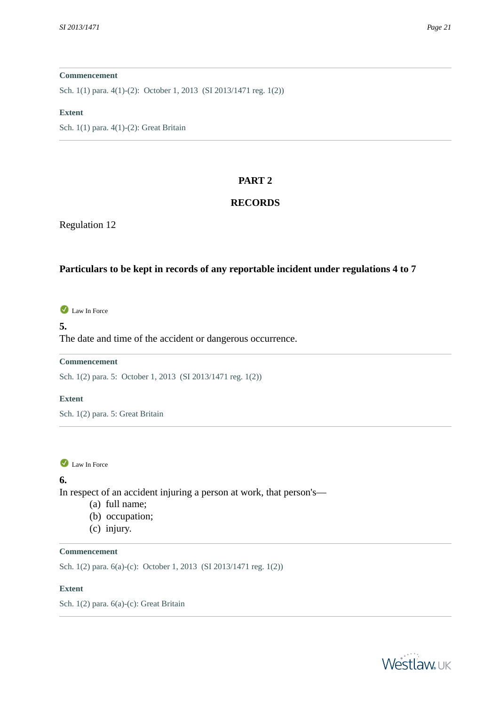Sch. 1(1) para. 4(1)-(2): October 1, 2013 (SI 2013/1471 reg. 1(2))

### **Extent**

Sch. 1(1) para. 4(1)-(2): Great Britain

# **PART 2**

# **RECORDS**

Regulation 12

# **Particulars to be kept in records of any reportable incident under regulations 4 to 7**

Law In Force

**5.**  The date and time of the accident or dangerous occurrence.

### **Commencement**

Sch. 1(2) para. 5: October 1, 2013 (SI 2013/1471 reg. 1(2))

### **Extent**

Sch. 1(2) para. 5: Great Britain

# Law In Force

**6.** 

In respect of an accident injuring a person at work, that person's—

- (a) full name;
- (b) occupation;
- (c) injury.

### **Commencement**

Sch. 1(2) para. 6(a)-(c): October 1, 2013 (SI 2013/1471 reg. 1(2))

### **Extent**

Sch. 1(2) para. 6(a)-(c): Great Britain

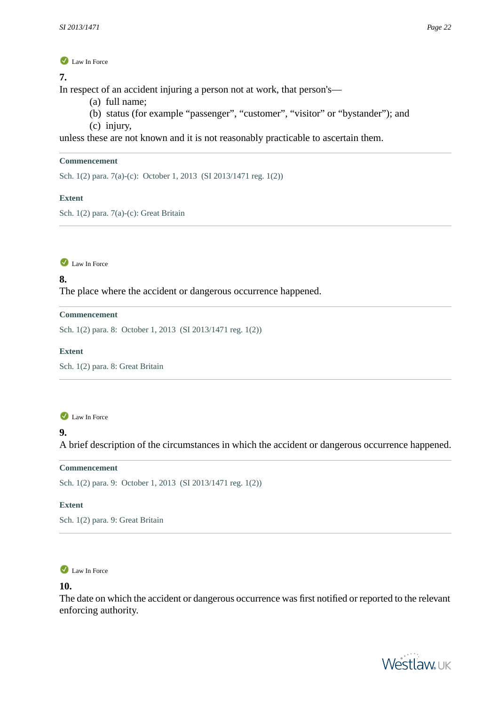# **7.**

In respect of an accident injuring a person not at work, that person's—

- (a) full name;
- (b) status (for example "passenger", "customer", "visitor" or "bystander"); and
- (c) injury,

unless these are not known and it is not reasonably practicable to ascertain them.

# **Commencement**

Sch. 1(2) para. 7(a)-(c): October 1, 2013 (SI 2013/1471 reg. 1(2))

### **Extent**

Sch. 1(2) para. 7(a)-(c): Great Britain

Law In Force

# **8.**

The place where the accident or dangerous occurrence happened.

### **Commencement**

Sch. 1(2) para. 8: October 1, 2013 (SI 2013/1471 reg. 1(2))

#### **Extent**

Sch. 1(2) para. 8: Great Britain

### Law In Force

### **9.**

A brief description of the circumstances in which the accident or dangerous occurrence happened.

### **Commencement**

Sch. 1(2) para. 9: October 1, 2013 (SI 2013/1471 reg. 1(2))

#### **Extent**

Sch. 1(2) para. 9: Great Britain

### Law In Force

### **10.**

The date on which the accident or dangerous occurrence was first notified or reported to the relevant enforcing authority.

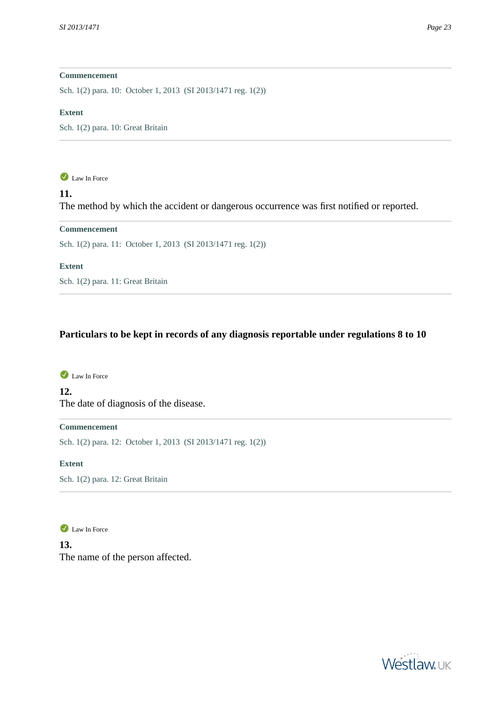Sch. 1(2) para. 10: October 1, 2013 (SI 2013/1471 reg. 1(2))

#### **Extent**

Sch. 1(2) para. 10: Great Britain

# Law In Force

**11.**  The method by which the accident or dangerous occurrence was first notified or reported.

### **Commencement**

Sch. 1(2) para. 11: October 1, 2013 (SI 2013/1471 reg. 1(2))

#### **Extent**

Sch. 1(2) para. 11: Great Britain

# **Particulars to be kept in records of any diagnosis reportable under regulations 8 to 10**

Law In Force

**12.**  The date of diagnosis of the disease.

**Commencement**

Sch. 1(2) para. 12: October 1, 2013 (SI 2013/1471 reg. 1(2))

**Extent** Sch. 1(2) para. 12: Great Britain

### Law In Force

**13.**  The name of the person affected.

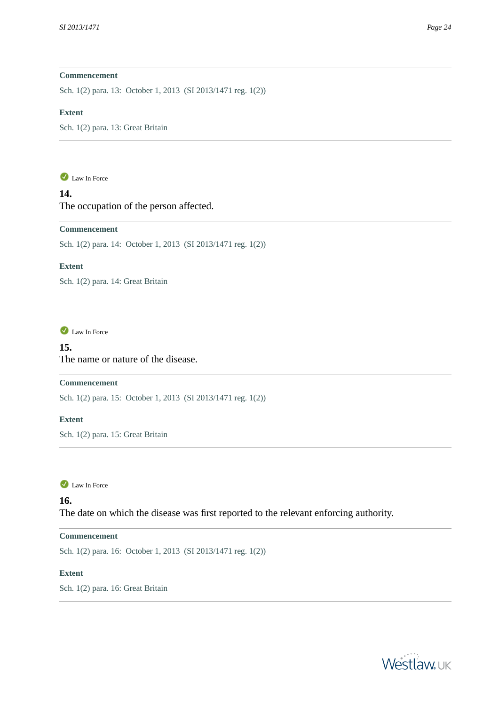Sch. 1(2) para. 13: October 1, 2013 (SI 2013/1471 reg. 1(2))

#### **Extent**

Sch. 1(2) para. 13: Great Britain

# Law In Force

**14.**  The occupation of the person affected.

### **Commencement**

Sch. 1(2) para. 14: October 1, 2013 (SI 2013/1471 reg. 1(2))

### **Extent**

Sch. 1(2) para. 14: Great Britain

### Law In Force

# **15.**  The name or nature of the disease.

### **Commencement**

Sch. 1(2) para. 15: October 1, 2013 (SI 2013/1471 reg. 1(2))

### **Extent**

Sch. 1(2) para. 15: Great Britain

# Law In Force

### **16.**

The date on which the disease was first reported to the relevant enforcing authority.

### **Commencement**

Sch. 1(2) para. 16: October 1, 2013 (SI 2013/1471 reg. 1(2))

### **Extent**

Sch. 1(2) para. 16: Great Britain

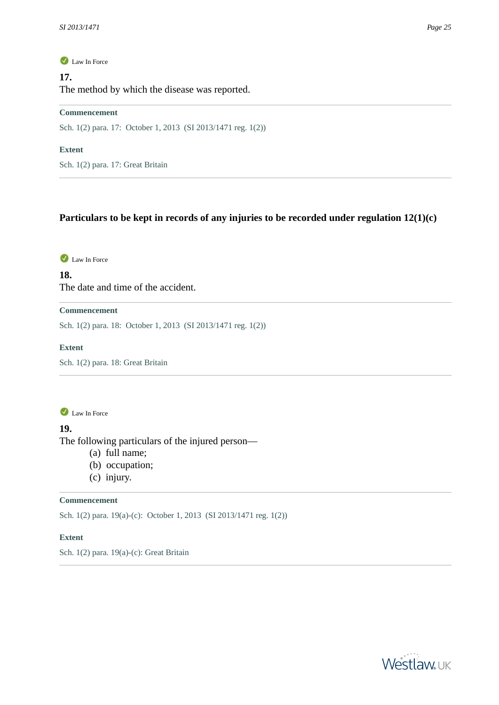**17.**  The method by which the disease was reported.

### **Commencement**

Sch. 1(2) para. 17: October 1, 2013 (SI 2013/1471 reg. 1(2))

### **Extent**

Sch. 1(2) para. 17: Great Britain

# **Particulars to be kept in records of any injuries to be recorded under regulation 12(1)(c)**

Law In Force

**18.**  The date and time of the accident.

### **Commencement**

Sch. 1(2) para. 18: October 1, 2013 (SI 2013/1471 reg. 1(2))

**Extent**

Sch. 1(2) para. 18: Great Britain

### Law In Force

# **19.**

The following particulars of the injured person—

- (a) full name;
- (b) occupation;
- (c) injury.

### **Commencement**

Sch. 1(2) para. 19(a)-(c): October 1, 2013 (SI 2013/1471 reg. 1(2))

### **Extent**

Sch. 1(2) para. 19(a)-(c): Great Britain

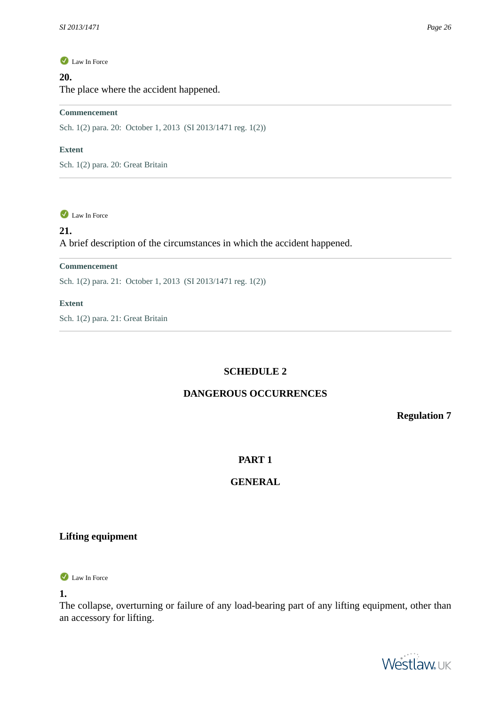### **20.**

The place where the accident happened.

#### **Commencement**

Sch. 1(2) para. 20: October 1, 2013 (SI 2013/1471 reg. 1(2))

### **Extent**

Sch. 1(2) para. 20: Great Britain

Law In Force

**21.**  A brief description of the circumstances in which the accident happened.

### **Commencement**

Sch. 1(2) para. 21: October 1, 2013 (SI 2013/1471 reg. 1(2))

#### **Extent**

Sch. 1(2) para. 21: Great Britain

# **SCHEDULE 2**

### **DANGEROUS OCCURRENCES**

**Regulation 7**

### **PART 1**

# **GENERAL**

# **Lifting equipment**

# Law In Force

### **1.**

The collapse, overturning or failure of any load-bearing part of any lifting equipment, other than an accessory for lifting.

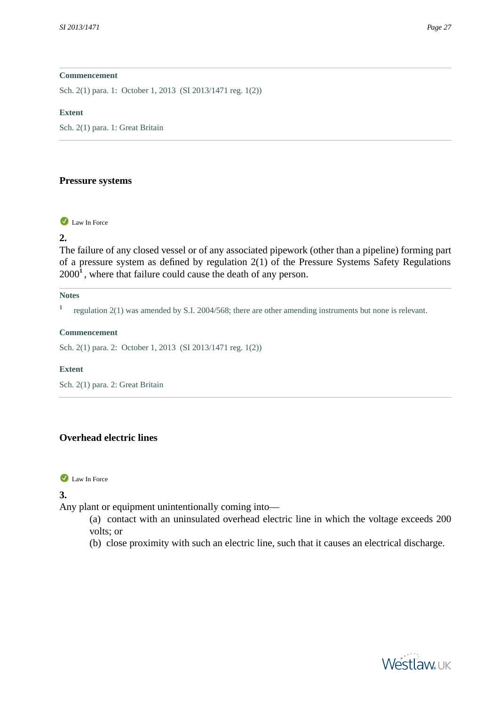Sch. 2(1) para. 1: October 1, 2013 (SI 2013/1471 reg. 1(2))

### **Extent**

Sch. 2(1) para. 1: Great Britain

### **Pressure systems**



# **2.**

The failure of any closed vessel or of any associated pipework (other than a pipeline) forming part of a pressure system as defined by regulation 2(1) of the Pressure Systems Safety Regulations 2000**<sup>1</sup>** , where that failure could cause the death of any person.

### **Notes**

**1** regulation 2(1) was amended by S.I. 2004/568; there are other amending instruments but none is relevant.

### **Commencement**

Sch. 2(1) para. 2: October 1, 2013 (SI 2013/1471 reg. 1(2))

### **Extent**

Sch. 2(1) para. 2: Great Britain

# **Overhead electric lines**

Law In Force

**3.** 

Any plant or equipment unintentionally coming into—

(a) contact with an uninsulated overhead electric line in which the voltage exceeds 200 volts; or

(b) close proximity with such an electric line, such that it causes an electrical discharge.

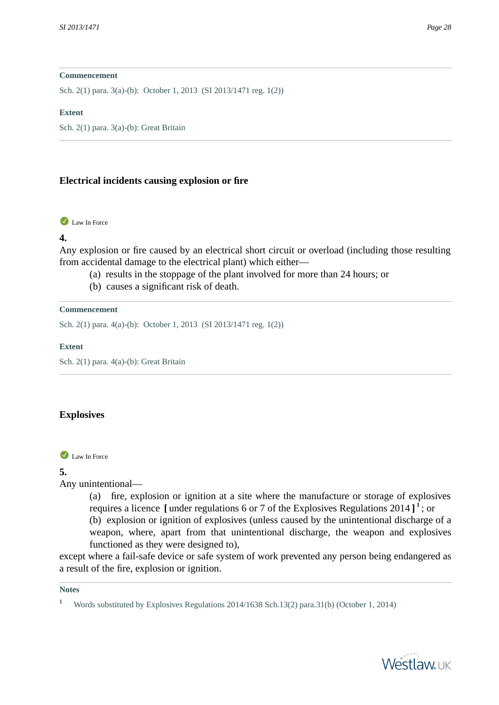Sch. 2(1) para. 3(a)-(b): October 1, 2013 (SI 2013/1471 reg. 1(2))

#### **Extent**

Sch. 2(1) para. 3(a)-(b): Great Britain

### **Electrical incidents causing explosion or fire**



### **4.**

Any explosion or fire caused by an electrical short circuit or overload (including those resulting from accidental damage to the electrical plant) which either—

- (a) results in the stoppage of the plant involved for more than 24 hours; or
- (b) causes a significant risk of death.

### **Commencement**

Sch. 2(1) para. 4(a)-(b): October 1, 2013 (SI 2013/1471 reg. 1(2))

#### **Extent**

Sch. 2(1) para. 4(a)-(b): Great Britain

### **Explosives**

# Law In Force

**5.** 

Any unintentional—

(a) fire, explosion or ignition at a site where the manufacture or storage of explosives requires a licence **[** under regulations 6 or 7 of the Explosives Regulations 2014 **] 1** ; or

(b) explosion or ignition of explosives (unless caused by the unintentional discharge of a weapon, where, apart from that unintentional discharge, the weapon and explosives functioned as they were designed to),

except where a fail-safe device or safe system of work prevented any person being endangered as a result of the fire, explosion or ignition.

### **Notes**

**<sup>1</sup>** Words substituted by Explosives Regulations 2014/1638 Sch.13(2) para.31(b) (October 1, 2014)

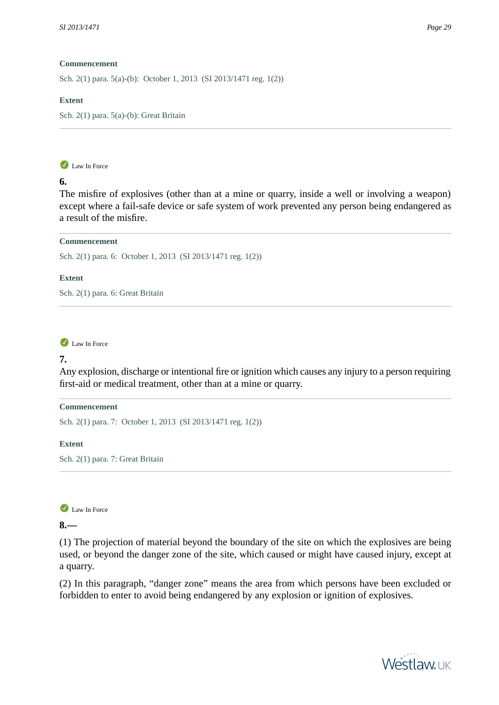Sch. 2(1) para. 5(a)-(b): October 1, 2013 (SI 2013/1471 reg. 1(2))

### **Extent**

Sch. 2(1) para. 5(a)-(b): Great Britain



# **6.**

The misfire of explosives (other than at a mine or quarry, inside a well or involving a weapon) except where a fail-safe device or safe system of work prevented any person being endangered as a result of the misfire.

### **Commencement**

Sch. 2(1) para. 6: October 1, 2013 (SI 2013/1471 reg. 1(2))

### **Extent**

Sch. 2(1) para. 6: Great Britain

Law In Force

# **7.**

Any explosion, discharge or intentional fire or ignition which causes any injury to a person requiring first-aid or medical treatment, other than at a mine or quarry.

### **Commencement**

Sch. 2(1) para. 7: October 1, 2013 (SI 2013/1471 reg. 1(2))

### **Extent**

Sch. 2(1) para. 7: Great Britain



# **8.—**

(1) The projection of material beyond the boundary of the site on which the explosives are being used, or beyond the danger zone of the site, which caused or might have caused injury, except at a quarry.

(2) In this paragraph, "danger zone" means the area from which persons have been excluded or forbidden to enter to avoid being endangered by any explosion or ignition of explosives.

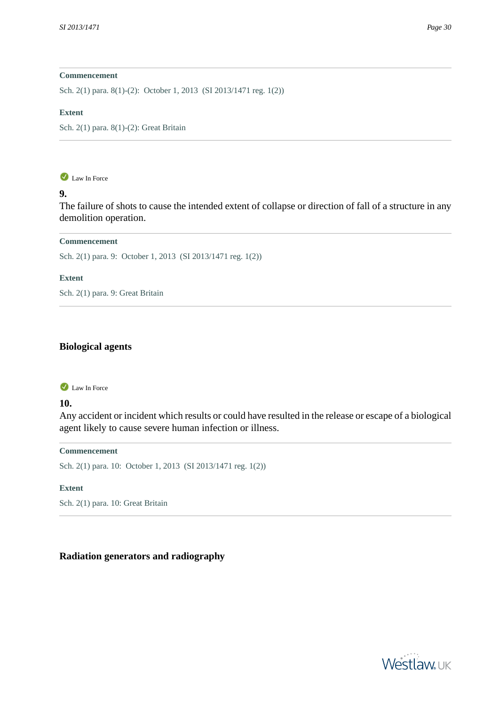Sch. 2(1) para. 8(1)-(2): October 1, 2013 (SI 2013/1471 reg. 1(2))

#### **Extent**

Sch. 2(1) para. 8(1)-(2): Great Britain

### Law In Force

### **9.**

The failure of shots to cause the intended extent of collapse or direction of fall of a structure in any demolition operation.

#### **Commencement**

Sch. 2(1) para. 9: October 1, 2013 (SI 2013/1471 reg. 1(2))

### **Extent**

Sch. 2(1) para. 9: Great Britain

# **Biological agents**



### **10.**

Any accident or incident which results or could have resulted in the release or escape of a biological agent likely to cause severe human infection or illness.

#### **Commencement**

Sch. 2(1) para. 10: October 1, 2013 (SI 2013/1471 reg. 1(2))

### **Extent**

Sch. 2(1) para. 10: Great Britain

# **Radiation generators and radiography**

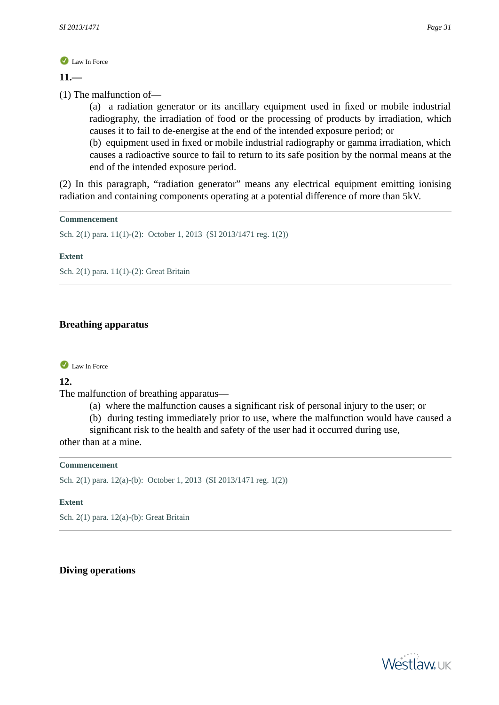# **11.—**

(1) The malfunction of—

(a) a radiation generator or its ancillary equipment used in fixed or mobile industrial radiography, the irradiation of food or the processing of products by irradiation, which causes it to fail to de-energise at the end of the intended exposure period; or

(b) equipment used in fixed or mobile industrial radiography or gamma irradiation, which causes a radioactive source to fail to return to its safe position by the normal means at the end of the intended exposure period.

(2) In this paragraph, "radiation generator" means any electrical equipment emitting ionising radiation and containing components operating at a potential difference of more than 5kV.

### **Commencement**

Sch. 2(1) para. 11(1)-(2): October 1, 2013 (SI 2013/1471 reg. 1(2))

### **Extent**

Sch. 2(1) para. 11(1)-(2): Great Britain

# **Breathing apparatus**

Law In Force

# **12.**

The malfunction of breathing apparatus—

- (a) where the malfunction causes a significant risk of personal injury to the user; or
- (b) during testing immediately prior to use, where the malfunction would have caused a

significant risk to the health and safety of the user had it occurred during use,

other than at a mine.

### **Commencement**

Sch. 2(1) para. 12(a)-(b): October 1, 2013 (SI 2013/1471 reg. 1(2))

### **Extent**

Sch. 2(1) para. 12(a)-(b): Great Britain

# **Diving operations**

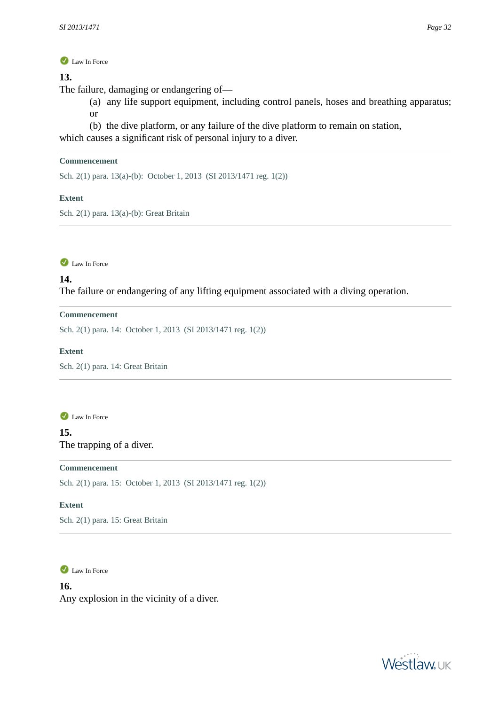### **13.**

The failure, damaging or endangering of—

(a) any life support equipment, including control panels, hoses and breathing apparatus; or

(b) the dive platform, or any failure of the dive platform to remain on station,

which causes a significant risk of personal injury to a diver.

# **Commencement**

Sch. 2(1) para. 13(a)-(b): October 1, 2013 (SI 2013/1471 reg. 1(2))

### **Extent**

Sch. 2(1) para. 13(a)-(b): Great Britain

### Law In Force

### **14.**

The failure or endangering of any lifting equipment associated with a diving operation.

### **Commencement**

Sch. 2(1) para. 14: October 1, 2013 (SI 2013/1471 reg. 1(2))

### **Extent**

Sch. 2(1) para. 14: Great Britain

### Law In Force

**15.**  The trapping of a diver.

### **Commencement**

Sch. 2(1) para. 15: October 1, 2013 (SI 2013/1471 reg. 1(2))

#### **Extent**

Sch. 2(1) para. 15: Great Britain

# Law In Force

# **16.**

Any explosion in the vicinity of a diver.

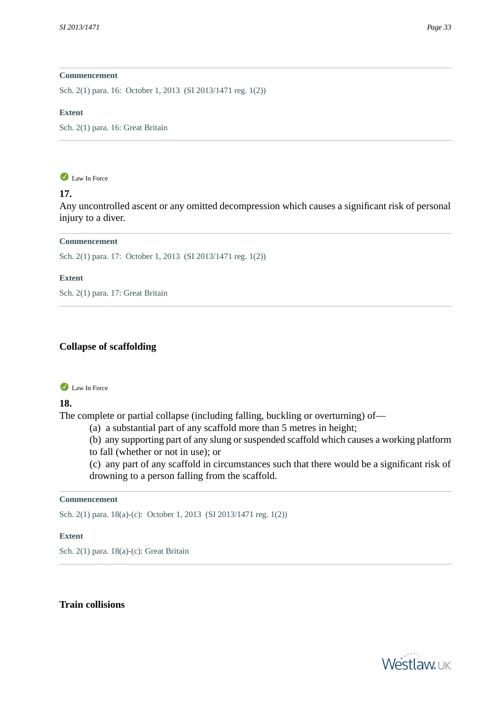Sch. 2(1) para. 16: October 1, 2013 (SI 2013/1471 reg. 1(2))

#### **Extent**

Sch. 2(1) para. 16: Great Britain

### Law In Force

# **17.**

Any uncontrolled ascent or any omitted decompression which causes a significant risk of personal injury to a diver.

#### **Commencement**

Sch. 2(1) para. 17: October 1, 2013 (SI 2013/1471 reg. 1(2))

### **Extent**

Sch. 2(1) para. 17: Great Britain

### **Collapse of scaffolding**

### Law In Force

# **18.**

The complete or partial collapse (including falling, buckling or overturning) of—

(a) a substantial part of any scaffold more than 5 metres in height;

(b) any supporting part of any slung or suspended scaffold which causes a working platform to fall (whether or not in use); or

(c) any part of any scaffold in circumstances such that there would be a significant risk of drowning to a person falling from the scaffold.

### **Commencement**

Sch. 2(1) para. 18(a)-(c): October 1, 2013 (SI 2013/1471 reg. 1(2))

# **Extent**

Sch. 2(1) para. 18(a)-(c): Great Britain

# **Train collisions**

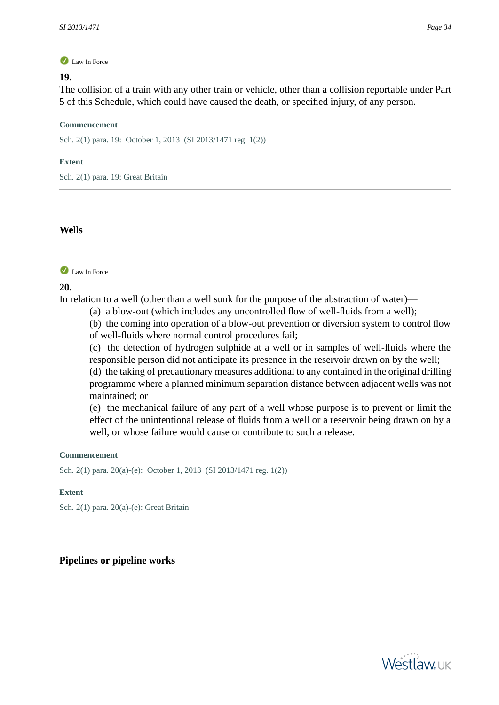### **19.**

The collision of a train with any other train or vehicle, other than a collision reportable under Part 5 of this Schedule, which could have caused the death, or specified injury, of any person.

#### **Commencement**

Sch. 2(1) para. 19: October 1, 2013 (SI 2013/1471 reg. 1(2))

#### **Extent**

Sch. 2(1) para. 19: Great Britain

### **Wells**



### **20.**

In relation to a well (other than a well sunk for the purpose of the abstraction of water)—

(a) a blow-out (which includes any uncontrolled flow of well-fluids from a well);

(b) the coming into operation of a blow-out prevention or diversion system to control flow of well-fluids where normal control procedures fail;

(c) the detection of hydrogen sulphide at a well or in samples of well-fluids where the responsible person did not anticipate its presence in the reservoir drawn on by the well;

(d) the taking of precautionary measures additional to any contained in the original drilling programme where a planned minimum separation distance between adjacent wells was not maintained; or

(e) the mechanical failure of any part of a well whose purpose is to prevent or limit the effect of the unintentional release of fluids from a well or a reservoir being drawn on by a well, or whose failure would cause or contribute to such a release.

### **Commencement**

Sch. 2(1) para. 20(a)-(e): October 1, 2013 (SI 2013/1471 reg. 1(2))

#### **Extent**

Sch. 2(1) para. 20(a)-(e): Great Britain

### **Pipelines or pipeline works**

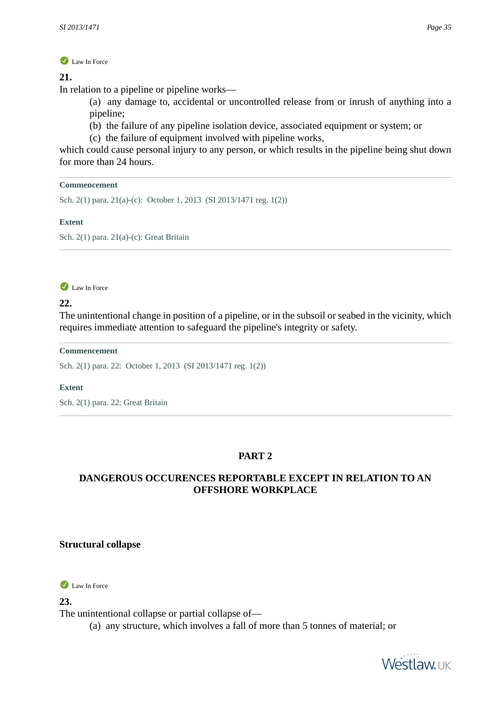# **21.**

In relation to a pipeline or pipeline works—

- (a) any damage to, accidental or uncontrolled release from or inrush of anything into a pipeline;
- (b) the failure of any pipeline isolation device, associated equipment or system; or
- (c) the failure of equipment involved with pipeline works,

which could cause personal injury to any person, or which results in the pipeline being shut down for more than 24 hours.

### **Commencement**

Sch. 2(1) para. 21(a)-(c): October 1, 2013 (SI 2013/1471 reg. 1(2))

### **Extent**

Sch. 2(1) para. 21(a)-(c): Great Britain



# **22.**

The unintentional change in position of a pipeline, or in the subsoil or seabed in the vicinity, which requires immediate attention to safeguard the pipeline's integrity or safety.

### **Commencement**

Sch. 2(1) para. 22: October 1, 2013 (SI 2013/1471 reg. 1(2))

### **Extent**

Sch. 2(1) para. 22: Great Britain

# **PART 2**

# **DANGEROUS OCCURENCES REPORTABLE EXCEPT IN RELATION TO AN OFFSHORE WORKPLACE**

# **Structural collapse**

Law In Force

**23.** 

The unintentional collapse or partial collapse of—

(a) any structure, which involves a fall of more than 5 tonnes of material; or

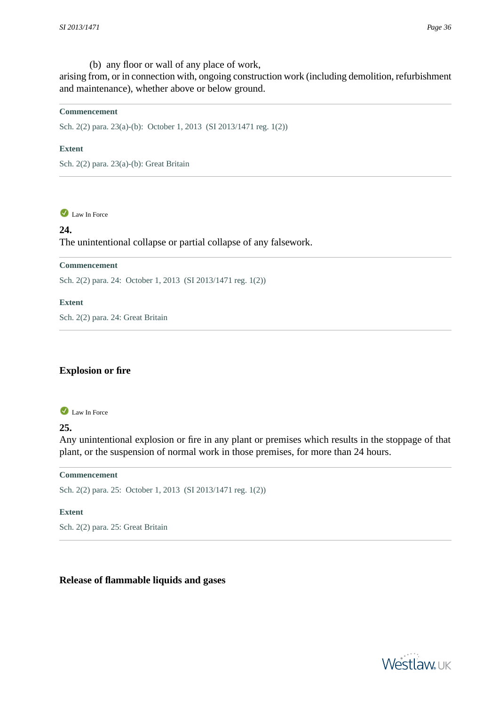(b) any floor or wall of any place of work,

arising from, or in connection with, ongoing construction work (including demolition, refurbishment and maintenance), whether above or below ground.

### **Commencement**

Sch. 2(2) para. 23(a)-(b): October 1, 2013 (SI 2013/1471 reg. 1(2))

### **Extent**

Sch. 2(2) para. 23(a)-(b): Great Britain

### Law In Force

# **24.**

The unintentional collapse or partial collapse of any falsework.

### **Commencement**

Sch. 2(2) para. 24: October 1, 2013 (SI 2013/1471 reg. 1(2))

### **Extent**

Sch. 2(2) para. 24: Great Britain

### **Explosion or fire**

### Law In Force

# **25.**

Any unintentional explosion or fire in any plant or premises which results in the stoppage of that plant, or the suspension of normal work in those premises, for more than 24 hours.

### **Commencement**

Sch. 2(2) para. 25: October 1, 2013 (SI 2013/1471 reg. 1(2))

#### **Extent**

Sch. 2(2) para. 25: Great Britain

### **Release of flammable liquids and gases**

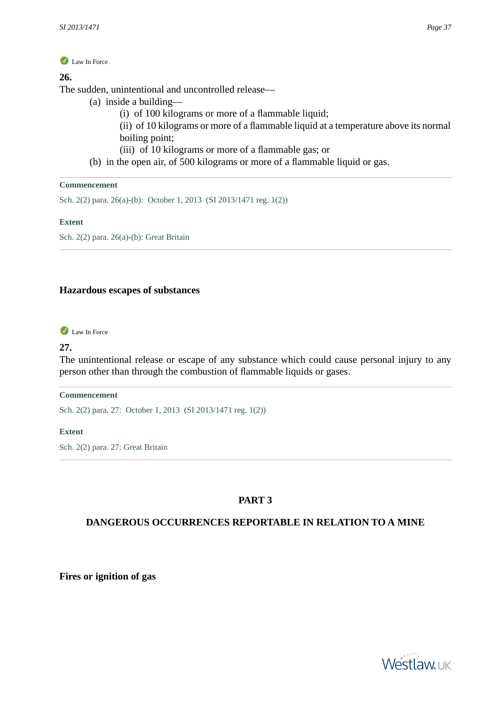# **26.**

The sudden, unintentional and uncontrolled release—

- (a) inside a building—
	- (i) of 100 kilograms or more of a flammable liquid;
	- (ii) of 10 kilograms or more of a flammable liquid at a temperature above its normal boiling point;
	- (iii) of 10 kilograms or more of a flammable gas; or
- (b) in the open air, of 500 kilograms or more of a flammable liquid or gas.

#### **Commencement**

Sch. 2(2) para. 26(a)-(b): October 1, 2013 (SI 2013/1471 reg. 1(2))

#### **Extent**

Sch. 2(2) para. 26(a)-(b): Great Britain

## **Hazardous escapes of substances**

Law In Force

# **27.**

The unintentional release or escape of any substance which could cause personal injury to any person other than through the combustion of flammable liquids or gases.

#### **Commencement**

Sch. 2(2) para. 27: October 1, 2013 (SI 2013/1471 reg. 1(2))

#### **Extent**

Sch. 2(2) para. 27: Great Britain

# **PART 3**

# **DANGEROUS OCCURRENCES REPORTABLE IN RELATION TO A MINE**

**Fires or ignition of gas**

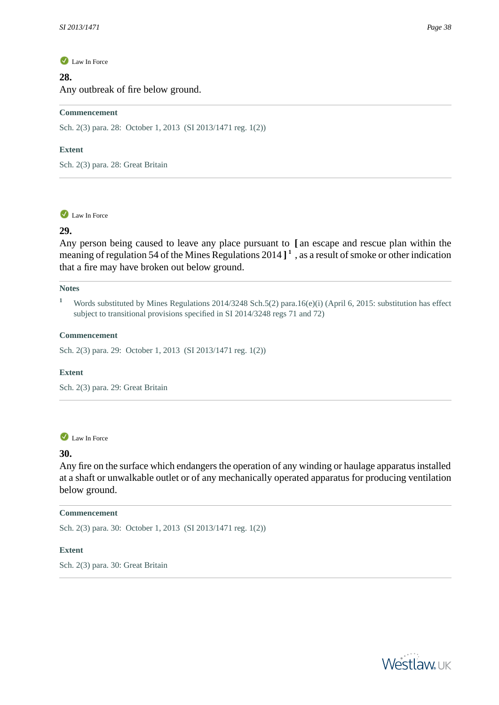# **28.**

Any outbreak of fire below ground.

#### **Commencement**

Sch. 2(3) para. 28: October 1, 2013 (SI 2013/1471 reg. 1(2))

#### **Extent**

Sch. 2(3) para. 28: Great Britain

#### Law In Force

#### **29.**

Any person being caused to leave any place pursuant to **[** an escape and rescue plan within the meaning of regulation 54 of the Mines Regulations 2014 ]<sup>1</sup>, as a result of smoke or other indication that a fire may have broken out below ground.

#### **Notes**

**<sup>1</sup>** Words substituted by Mines Regulations 2014/3248 Sch.5(2) para.16(e)(i) (April 6, 2015: substitution has effect subject to transitional provisions specified in SI 2014/3248 regs 71 and 72)

#### **Commencement**

Sch. 2(3) para. 29: October 1, 2013 (SI 2013/1471 reg. 1(2))

#### **Extent**

Sch. 2(3) para. 29: Great Britain



## **30.**

Any fire on the surface which endangers the operation of any winding or haulage apparatus installed at a shaft or unwalkable outlet or of any mechanically operated apparatus for producing ventilation below ground.

#### **Commencement**

Sch. 2(3) para. 30: October 1, 2013 (SI 2013/1471 reg. 1(2))

#### **Extent**

Sch. 2(3) para. 30: Great Britain

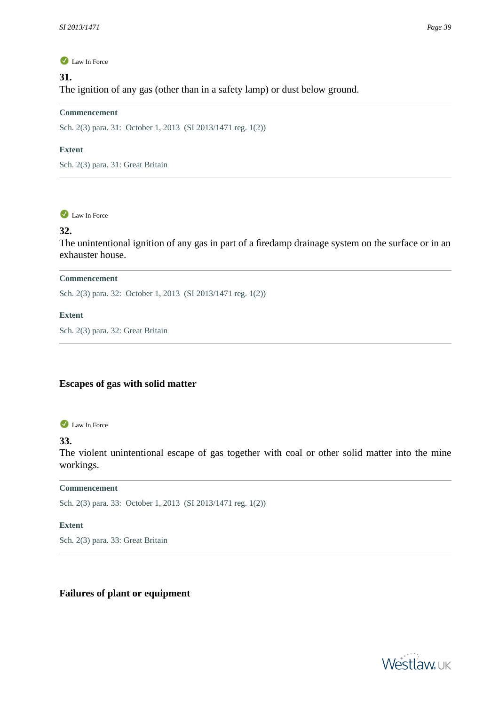# **31.**

The ignition of any gas (other than in a safety lamp) or dust below ground.

#### **Commencement**

Sch. 2(3) para. 31: October 1, 2013 (SI 2013/1471 reg. 1(2))

#### **Extent**

Sch. 2(3) para. 31: Great Britain

Law In Force

## **32.**

The unintentional ignition of any gas in part of a firedamp drainage system on the surface or in an exhauster house.

## **Commencement**

Sch. 2(3) para. 32: October 1, 2013 (SI 2013/1471 reg. 1(2))

### **Extent**

Sch. 2(3) para. 32: Great Britain

# **Escapes of gas with solid matter**

Law In Force

## **33.**

The violent unintentional escape of gas together with coal or other solid matter into the mine workings.

#### **Commencement**

Sch. 2(3) para. 33: October 1, 2013 (SI 2013/1471 reg. 1(2))

#### **Extent**

Sch. 2(3) para. 33: Great Britain

# **Failures of plant or equipment**

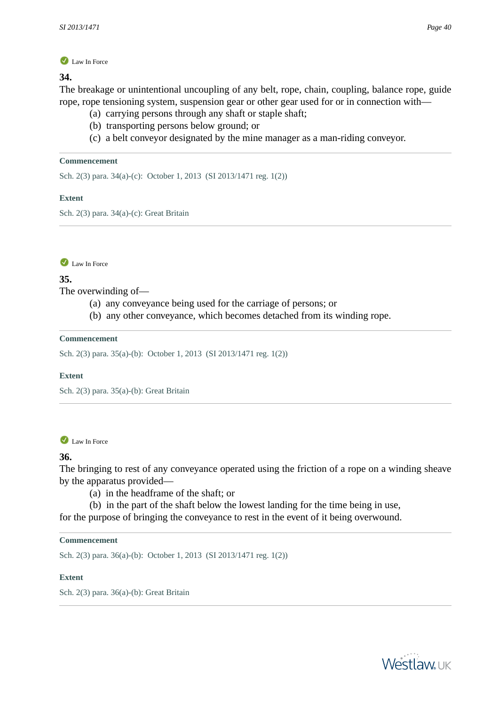**34.** 

The breakage or unintentional uncoupling of any belt, rope, chain, coupling, balance rope, guide rope, rope tensioning system, suspension gear or other gear used for or in connection with—

- (a) carrying persons through any shaft or staple shaft;
- (b) transporting persons below ground; or
- (c) a belt conveyor designated by the mine manager as a man-riding conveyor.

## **Commencement**

Sch. 2(3) para. 34(a)-(c): October 1, 2013 (SI 2013/1471 reg. 1(2))

## **Extent**

Sch. 2(3) para. 34(a)-(c): Great Britain

## Law In Force

### **35.**

The overwinding of—

- (a) any conveyance being used for the carriage of persons; or
- (b) any other conveyance, which becomes detached from its winding rope.

#### **Commencement**

Sch. 2(3) para. 35(a)-(b): October 1, 2013 (SI 2013/1471 reg. 1(2))

#### **Extent**

Sch. 2(3) para. 35(a)-(b): Great Britain

## Law In Force

# **36.**

The bringing to rest of any conveyance operated using the friction of a rope on a winding sheave by the apparatus provided—

- (a) in the headframe of the shaft; or
- (b) in the part of the shaft below the lowest landing for the time being in use,

for the purpose of bringing the conveyance to rest in the event of it being overwound.

#### **Commencement**

Sch. 2(3) para. 36(a)-(b): October 1, 2013 (SI 2013/1471 reg. 1(2))

#### **Extent**

Sch. 2(3) para. 36(a)-(b): Great Britain

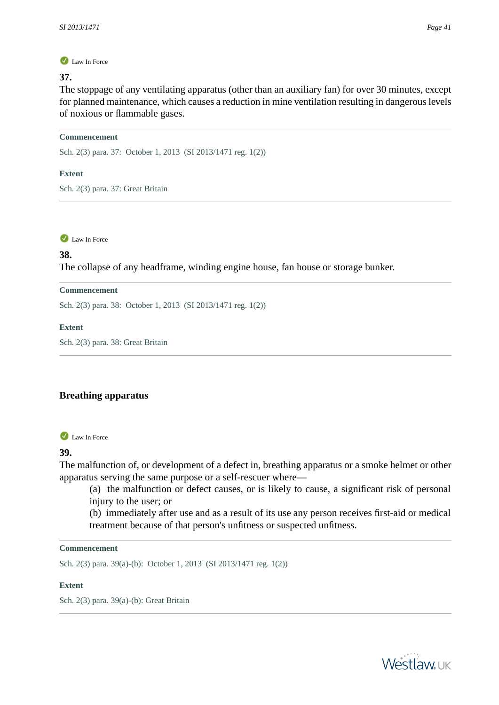## **37.**

The stoppage of any ventilating apparatus (other than an auxiliary fan) for over 30 minutes, except for planned maintenance, which causes a reduction in mine ventilation resulting in dangerous levels of noxious or flammable gases.

#### **Commencement**

Sch. 2(3) para. 37: October 1, 2013 (SI 2013/1471 reg. 1(2))

### **Extent**

Sch. 2(3) para. 37: Great Britain

Law In Force

### **38.**

The collapse of any headframe, winding engine house, fan house or storage bunker.

#### **Commencement**

Sch. 2(3) para. 38: October 1, 2013 (SI 2013/1471 reg. 1(2))

### **Extent**

Sch. 2(3) para. 38: Great Britain

# **Breathing apparatus**

### Law In Force

## **39.**

The malfunction of, or development of a defect in, breathing apparatus or a smoke helmet or other apparatus serving the same purpose or a self-rescuer where—

(a) the malfunction or defect causes, or is likely to cause, a significant risk of personal injury to the user; or

(b) immediately after use and as a result of its use any person receives first-aid or medical treatment because of that person's unfitness or suspected unfitness.

### **Commencement**

Sch. 2(3) para. 39(a)-(b): October 1, 2013 (SI 2013/1471 reg. 1(2))

#### **Extent**

Sch. 2(3) para. 39(a)-(b): Great Britain

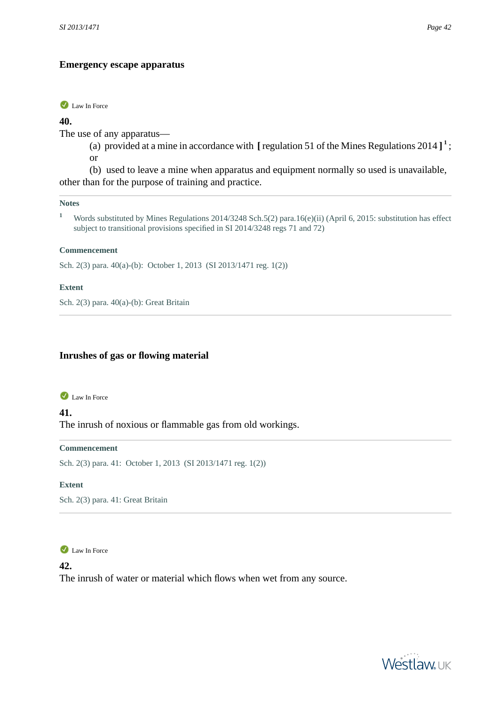# **Emergency escape apparatus**

Law In Force

## **40.**

The use of any apparatus—

(a) provided at a mine in accordance with **[**regulation 51 of the Mines Regulations 2014 **] 1** ; or

(b) used to leave a mine when apparatus and equipment normally so used is unavailable, other than for the purpose of training and practice.

#### **Notes**

**<sup>1</sup>** Words substituted by Mines Regulations 2014/3248 Sch.5(2) para.16(e)(ii) (April 6, 2015: substitution has effect subject to transitional provisions specified in SI 2014/3248 regs 71 and 72)

## **Commencement**

Sch. 2(3) para. 40(a)-(b): October 1, 2013 (SI 2013/1471 reg. 1(2))

#### **Extent**

Sch. 2(3) para. 40(a)-(b): Great Britain

# **Inrushes of gas or flowing material**

**Law In Force** 

**41.** 

The inrush of noxious or flammable gas from old workings.

#### **Commencement**

Sch. 2(3) para. 41: October 1, 2013 (SI 2013/1471 reg. 1(2))

## **Extent**

Sch. 2(3) para. 41: Great Britain



## **42.**

The inrush of water or material which flows when wet from any source.

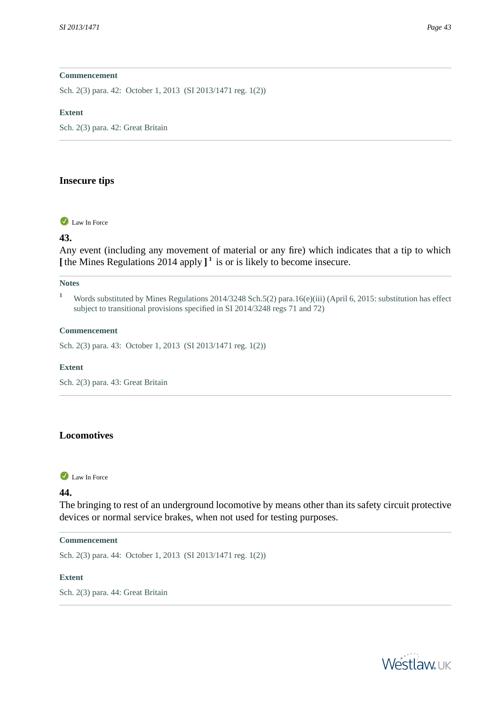Sch. 2(3) para. 42: October 1, 2013 (SI 2013/1471 reg. 1(2))

#### **Extent**

Sch. 2(3) para. 42: Great Britain

#### **Insecure tips**



# **43.**

Any event (including any movement of material or any fire) which indicates that a tip to which **[** the Mines Regulations 2014 apply **] 1** is or is likely to become insecure.

#### **Notes**

**<sup>1</sup>** Words substituted by Mines Regulations 2014/3248 Sch.5(2) para.16(e)(iii) (April 6, 2015: substitution has effect subject to transitional provisions specified in SI 2014/3248 regs 71 and 72)

#### **Commencement**

Sch. 2(3) para. 43: October 1, 2013 (SI 2013/1471 reg. 1(2))

#### **Extent**

Sch. 2(3) para. 43: Great Britain

# **Locomotives**

Law In Force

## **44.**

The bringing to rest of an underground locomotive by means other than its safety circuit protective devices or normal service brakes, when not used for testing purposes.

#### **Commencement**

```
Sch. 2(3) para. 44: October 1, 2013 (SI 2013/1471 reg. 1(2))
```
#### **Extent**

Sch. 2(3) para. 44: Great Britain

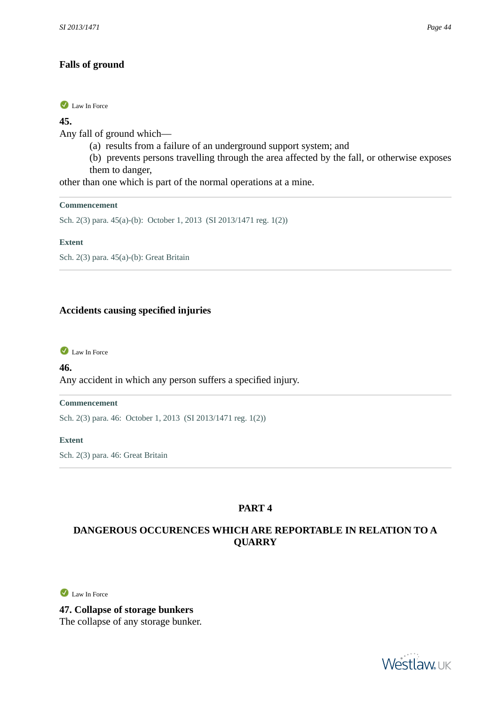# **Falls of ground**

Law In Force

# **45.**

Any fall of ground which—

- (a) results from a failure of an underground support system; and
- (b) prevents persons travelling through the area affected by the fall, or otherwise exposes them to danger,

other than one which is part of the normal operations at a mine.

#### **Commencement**

Sch. 2(3) para. 45(a)-(b): October 1, 2013 (SI 2013/1471 reg. 1(2))

## **Extent**

Sch. 2(3) para. 45(a)-(b): Great Britain

# **Accidents causing specified injuries**

Law In Force

## **46.**

Any accident in which any person suffers a specified injury.

## **Commencement**

Sch. 2(3) para. 46: October 1, 2013 (SI 2013/1471 reg. 1(2))

#### **Extent**

Sch. 2(3) para. 46: Great Britain

# **PART 4**

# **DANGEROUS OCCURENCES WHICH ARE REPORTABLE IN RELATION TO A QUARRY**

**C** Law In Force

# **47. Collapse of storage bunkers**

The collapse of any storage bunker.



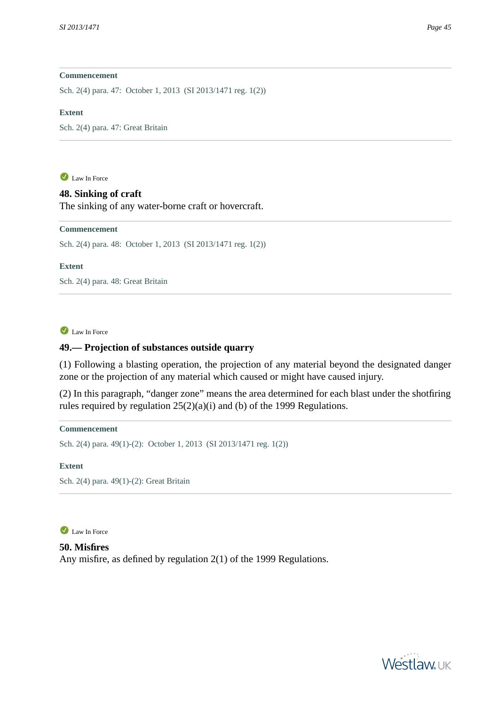Sch. 2(4) para. 47: October 1, 2013 (SI 2013/1471 reg. 1(2))

#### **Extent**

Sch. 2(4) para. 47: Great Britain

Law In Force

## **48. Sinking of craft**

The sinking of any water-borne craft or hovercraft.

#### **Commencement**

Sch. 2(4) para. 48: October 1, 2013 (SI 2013/1471 reg. 1(2))

#### **Extent**

Sch. 2(4) para. 48: Great Britain

## Law In Force

### **49.— Projection of substances outside quarry**

(1) Following a blasting operation, the projection of any material beyond the designated danger zone or the projection of any material which caused or might have caused injury.

(2) In this paragraph, "danger zone" means the area determined for each blast under the shotfiring rules required by regulation 25(2)(a)(i) and (b) of the 1999 Regulations.

#### **Commencement**

Sch. 2(4) para. 49(1)-(2): October 1, 2013 (SI 2013/1471 reg. 1(2))

#### **Extent**

Sch. 2(4) para. 49(1)-(2): Great Britain

# Law In Force

**50. Misfires** Any misfire, as defined by regulation 2(1) of the 1999 Regulations.

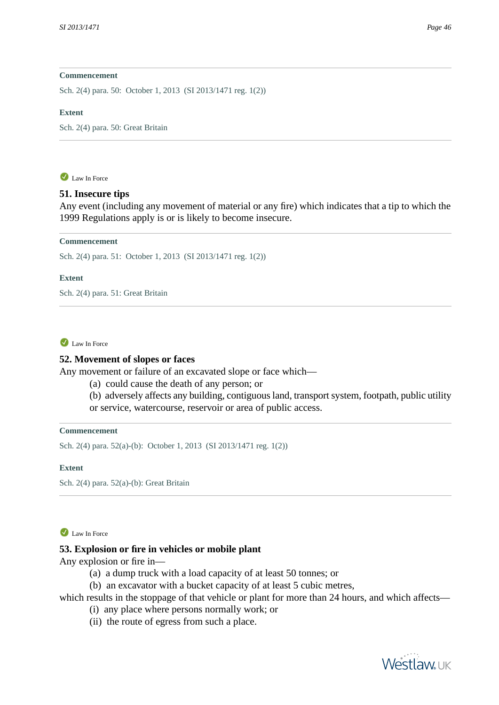Sch. 2(4) para. 50: October 1, 2013 (SI 2013/1471 reg. 1(2))

#### **Extent**

Sch. 2(4) para. 50: Great Britain

## Law In Force

## **51. Insecure tips**

Any event (including any movement of material or any fire) which indicates that a tip to which the 1999 Regulations apply is or is likely to become insecure.

#### **Commencement**

Sch. 2(4) para. 51: October 1, 2013 (SI 2013/1471 reg. 1(2))

#### **Extent**

Sch. 2(4) para. 51: Great Britain

Law In Force

#### **52. Movement of slopes or faces**

Any movement or failure of an excavated slope or face which—

- (a) could cause the death of any person; or
- (b) adversely affects any building, contiguous land, transport system, footpath, public utility or service, watercourse, reservoir or area of public access.

#### **Commencement**

Sch. 2(4) para. 52(a)-(b): October 1, 2013 (SI 2013/1471 reg. 1(2))

#### **Extent**

Sch. 2(4) para. 52(a)-(b): Great Britain

# Law In Force

## **53. Explosion or fire in vehicles or mobile plant**

Any explosion or fire in—

- (a) a dump truck with a load capacity of at least 50 tonnes; or
- (b) an excavator with a bucket capacity of at least 5 cubic metres,

which results in the stoppage of that vehicle or plant for more than 24 hours, and which affects—

- (i) any place where persons normally work; or
- (ii) the route of egress from such a place.

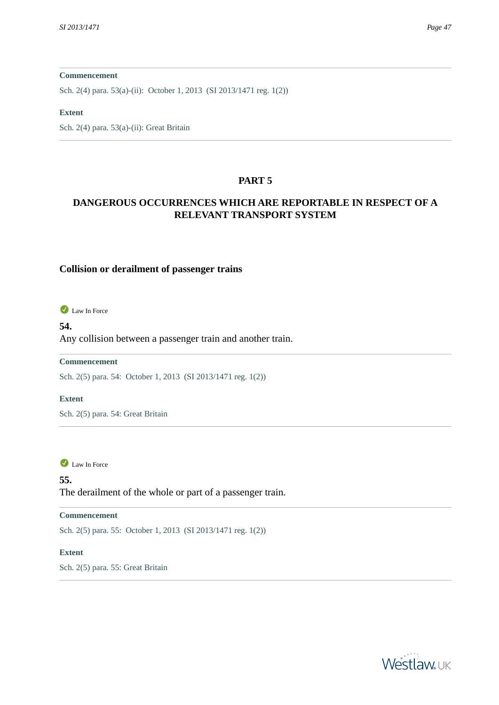Sch. 2(4) para. 53(a)-(ii): October 1, 2013 (SI 2013/1471 reg. 1(2))

#### **Extent**

Sch. 2(4) para. 53(a)-(ii): Great Britain

# **PART 5**

# **DANGEROUS OCCURRENCES WHICH ARE REPORTABLE IN RESPECT OF A RELEVANT TRANSPORT SYSTEM**

# **Collision or derailment of passenger trains**

Law In Force

**54.**  Any collision between a passenger train and another train.

### **Commencement**

Sch. 2(5) para. 54: October 1, 2013 (SI 2013/1471 reg. 1(2))

## **Extent**

Sch. 2(5) para. 54: Great Britain



**55.**  The derailment of the whole or part of a passenger train.

### **Commencement**

Sch. 2(5) para. 55: October 1, 2013 (SI 2013/1471 reg. 1(2))

#### **Extent**

Sch. 2(5) para. 55: Great Britain

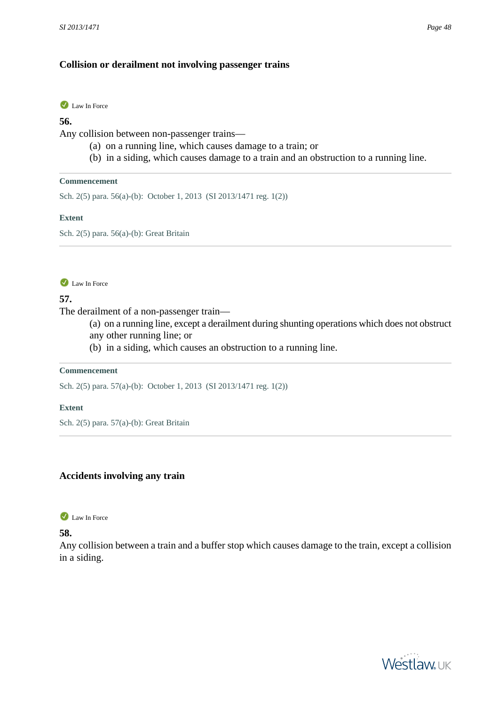# **Collision or derailment not involving passenger trains**

Law In Force

# **56.**

Any collision between non-passenger trains—

- (a) on a running line, which causes damage to a train; or
- (b) in a siding, which causes damage to a train and an obstruction to a running line.

### **Commencement**

Sch. 2(5) para. 56(a)-(b): October 1, 2013 (SI 2013/1471 reg. 1(2))

## **Extent**

Sch. 2(5) para. 56(a)-(b): Great Britain

# Law In Force

# **57.**

The derailment of a non-passenger train—

(a) on a running line, except a derailment during shunting operations which does not obstruct

- any other running line; or
- (b) in a siding, which causes an obstruction to a running line.

## **Commencement**

Sch. 2(5) para. 57(a)-(b): October 1, 2013 (SI 2013/1471 reg. 1(2))

## **Extent**

Sch. 2(5) para. 57(a)-(b): Great Britain

# **Accidents involving any train**



## **58.**

Any collision between a train and a buffer stop which causes damage to the train, except a collision in a siding.

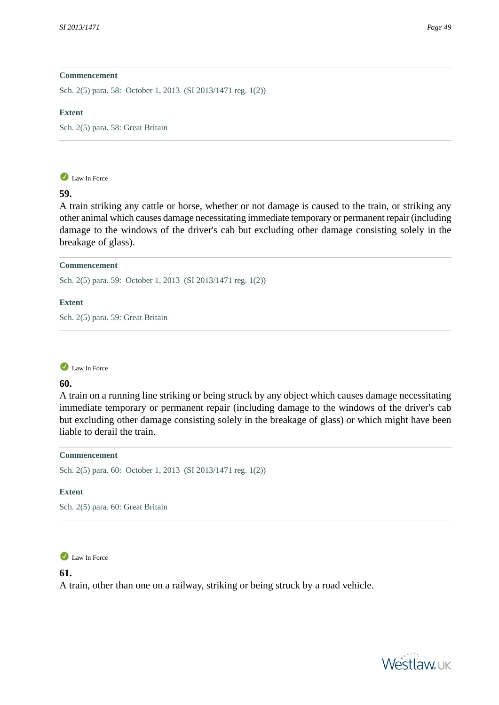Sch. 2(5) para. 58: October 1, 2013 (SI 2013/1471 reg. 1(2))

#### **Extent**

Sch. 2(5) para. 58: Great Britain



## **59.**

A train striking any cattle or horse, whether or not damage is caused to the train, or striking any other animal which causes damage necessitating immediate temporary or permanent repair (including damage to the windows of the driver's cab but excluding other damage consisting solely in the breakage of glass).

#### **Commencement**

Sch. 2(5) para. 59: October 1, 2013 (SI 2013/1471 reg. 1(2))

#### **Extent**

Sch. 2(5) para. 59: Great Britain



## **60.**

A train on a running line striking or being struck by any object which causes damage necessitating immediate temporary or permanent repair (including damage to the windows of the driver's cab but excluding other damage consisting solely in the breakage of glass) or which might have been liable to derail the train.

## **Commencement**

Sch. 2(5) para. 60: October 1, 2013 (SI 2013/1471 reg. 1(2))

#### **Extent**

Sch. 2(5) para. 60: Great Britain



## **61.**

A train, other than one on a railway, striking or being struck by a road vehicle.

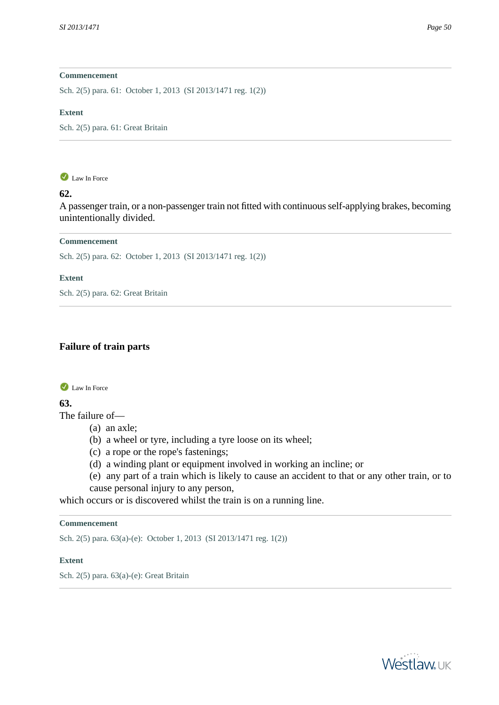Sch. 2(5) para. 61: October 1, 2013 (SI 2013/1471 reg. 1(2))

#### **Extent**

Sch. 2(5) para. 61: Great Britain

## Law In Force

# **62.**

A passenger train, or a non-passenger train not fitted with continuous self-applying brakes, becoming unintentionally divided.

#### **Commencement**

Sch. 2(5) para. 62: October 1, 2013 (SI 2013/1471 reg. 1(2))

#### **Extent**

Sch. 2(5) para. 62: Great Britain

## **Failure of train parts**

Law In Force

**63.** 

The failure of—

- (a) an axle;
- (b) a wheel or tyre, including a tyre loose on its wheel;
- (c) a rope or the rope's fastenings;
- (d) a winding plant or equipment involved in working an incline; or
- (e) any part of a train which is likely to cause an accident to that or any other train, or to cause personal injury to any person,

which occurs or is discovered whilst the train is on a running line.

#### **Commencement**

Sch. 2(5) para. 63(a)-(e): October 1, 2013 (SI 2013/1471 reg. 1(2))

## **Extent**

Sch. 2(5) para. 63(a)-(e): Great Britain

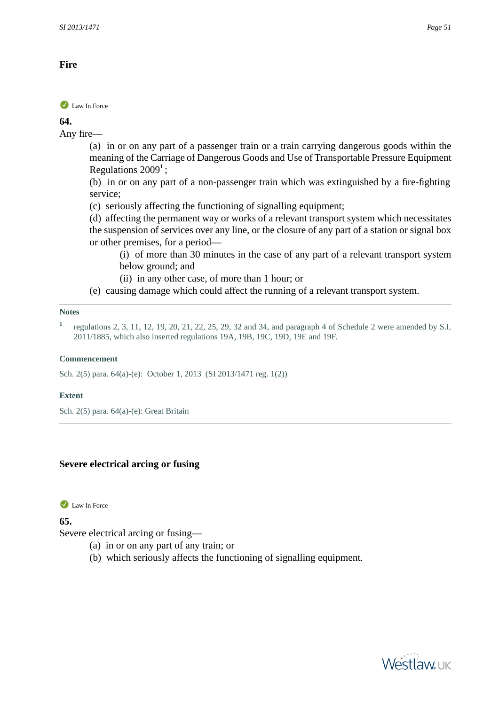# **Fire**



# **64.**

Any fire—

(a) in or on any part of a passenger train or a train carrying dangerous goods within the meaning of the Carriage of Dangerous Goods and Use of Transportable Pressure Equipment Regulations 2009**<sup>1</sup>** ;

(b) in or on any part of a non-passenger train which was extinguished by a fire-fighting service;

(c) seriously affecting the functioning of signalling equipment;

(d) affecting the permanent way or works of a relevant transport system which necessitates the suspension of services over any line, or the closure of any part of a station or signal box or other premises, for a period—

(i) of more than 30 minutes in the case of any part of a relevant transport system below ground; and

- (ii) in any other case, of more than 1 hour; or
- (e) causing damage which could affect the running of a relevant transport system.

# **Notes**

**1** regulations 2, 3, 11, 12, 19, 20, 21, 22, 25, 29, 32 and 34, and paragraph 4 of Schedule 2 were amended by S.I. 2011/1885, which also inserted regulations 19A, 19B, 19C, 19D, 19E and 19F.

# **Commencement**

Sch. 2(5) para. 64(a)-(e): October 1, 2013 (SI 2013/1471 reg. 1(2))

# **Extent**

Sch. 2(5) para. 64(a)-(e): Great Britain

# **Severe electrical arcing or fusing**

Law In Force

**65.** 

Severe electrical arcing or fusing—

- (a) in or on any part of any train; or
- (b) which seriously affects the functioning of signalling equipment.

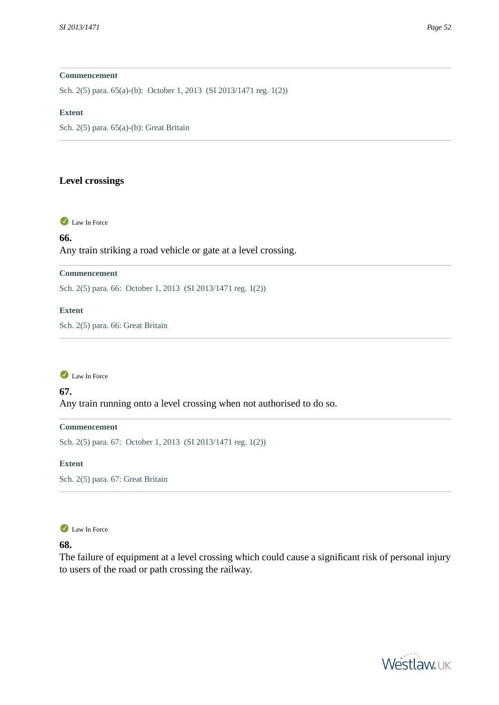Sch. 2(5) para. 65(a)-(b): October 1, 2013 (SI 2013/1471 reg. 1(2))

#### **Extent**

Sch. 2(5) para. 65(a)-(b): Great Britain

# **Level crossings**



# **66.**  Any train striking a road vehicle or gate at a level crossing.

#### **Commencement**

Sch. 2(5) para. 66: October 1, 2013 (SI 2013/1471 reg. 1(2))

### **Extent**

Sch. 2(5) para. 66: Great Britain



# **67.**  Any train running onto a level crossing when not authorised to do so.

## **Commencement**

Sch. 2(5) para. 67: October 1, 2013 (SI 2013/1471 reg. 1(2))

#### **Extent**

Sch. 2(5) para. 67: Great Britain

# Law In Force

# **68.**

The failure of equipment at a level crossing which could cause a significant risk of personal injury to users of the road or path crossing the railway.

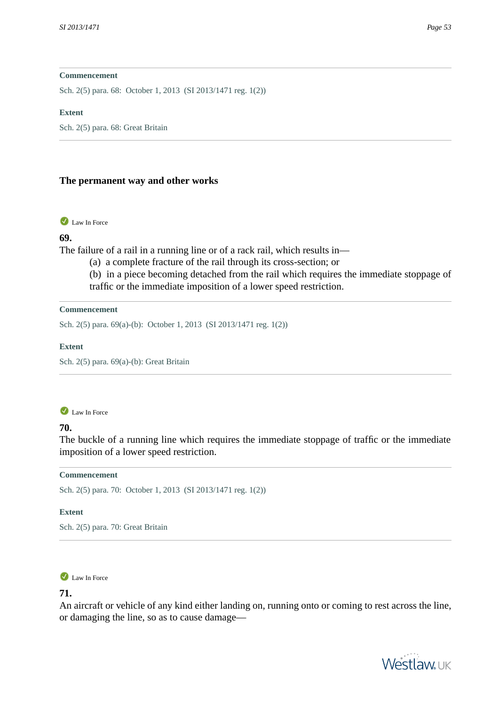Sch. 2(5) para. 68: October 1, 2013 (SI 2013/1471 reg. 1(2))

#### **Extent**

Sch. 2(5) para. 68: Great Britain

## **The permanent way and other works**



# **69.**

The failure of a rail in a running line or of a rack rail, which results in—

(a) a complete fracture of the rail through its cross-section; or

(b) in a piece becoming detached from the rail which requires the immediate stoppage of traffic or the immediate imposition of a lower speed restriction.

#### **Commencement**

Sch. 2(5) para. 69(a)-(b): October 1, 2013 (SI 2013/1471 reg. 1(2))

#### **Extent**

Sch. 2(5) para. 69(a)-(b): Great Britain

## Law In Force

# **70.**

The buckle of a running line which requires the immediate stoppage of traffic or the immediate imposition of a lower speed restriction.

#### **Commencement**

Sch. 2(5) para. 70: October 1, 2013 (SI 2013/1471 reg. 1(2))

#### **Extent**

Sch. 2(5) para. 70: Great Britain



## **71.**

An aircraft or vehicle of any kind either landing on, running onto or coming to rest across the line, or damaging the line, so as to cause damage—

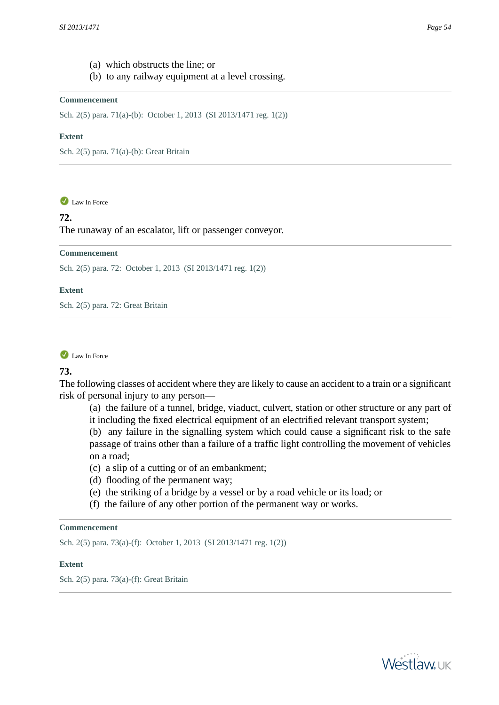- (a) which obstructs the line; or
- (b) to any railway equipment at a level crossing.

Sch. 2(5) para. 71(a)-(b): October 1, 2013 (SI 2013/1471 reg. 1(2))

#### **Extent**

Sch. 2(5) para. 71(a)-(b): Great Britain

Law In Force

# **72.**

The runaway of an escalator, lift or passenger conveyor.

#### **Commencement**

Sch. 2(5) para. 72: October 1, 2013 (SI 2013/1471 reg. 1(2))

### **Extent**

Sch. 2(5) para. 72: Great Britain

## Law In Force

# **73.**

The following classes of accident where they are likely to cause an accident to a train or a significant risk of personal injury to any person—

(a) the failure of a tunnel, bridge, viaduct, culvert, station or other structure or any part of it including the fixed electrical equipment of an electrified relevant transport system;

(b) any failure in the signalling system which could cause a significant risk to the safe passage of trains other than a failure of a traffic light controlling the movement of vehicles on a road;

- (c) a slip of a cutting or of an embankment;
- (d) flooding of the permanent way;
- (e) the striking of a bridge by a vessel or by a road vehicle or its load; or
- (f) the failure of any other portion of the permanent way or works.

# **Commencement**

Sch. 2(5) para. 73(a)-(f): October 1, 2013 (SI 2013/1471 reg. 1(2))

### **Extent**

Sch. 2(5) para. 73(a)-(f): Great Britain

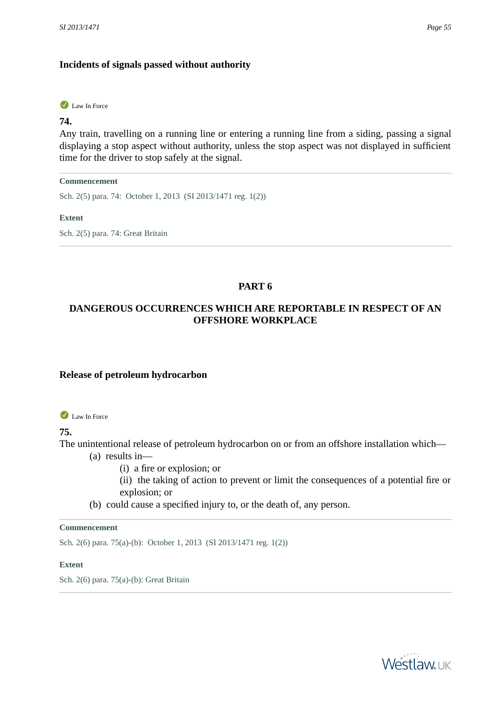# **Incidents of signals passed without authority**



# **74.**

Any train, travelling on a running line or entering a running line from a siding, passing a signal displaying a stop aspect without authority, unless the stop aspect was not displayed in sufficient time for the driver to stop safely at the signal.

# **Commencement** Sch. 2(5) para. 74: October 1, 2013 (SI 2013/1471 reg. 1(2))

## **Extent**

Sch. 2(5) para. 74: Great Britain

# **PART 6**

# **DANGEROUS OCCURRENCES WHICH ARE REPORTABLE IN RESPECT OF AN OFFSHORE WORKPLACE**

# **Release of petroleum hydrocarbon**

## **Law In Force**

# **75.**

The unintentional release of petroleum hydrocarbon on or from an offshore installation which— (a) results in—

- - (i) a fire or explosion; or
	- (ii) the taking of action to prevent or limit the consequences of a potential fire or explosion; or
- (b) could cause a specified injury to, or the death of, any person.

# **Commencement**

Sch. 2(6) para. 75(a)-(b): October 1, 2013 (SI 2013/1471 reg. 1(2))

## **Extent**

Sch. 2(6) para. 75(a)-(b): Great Britain

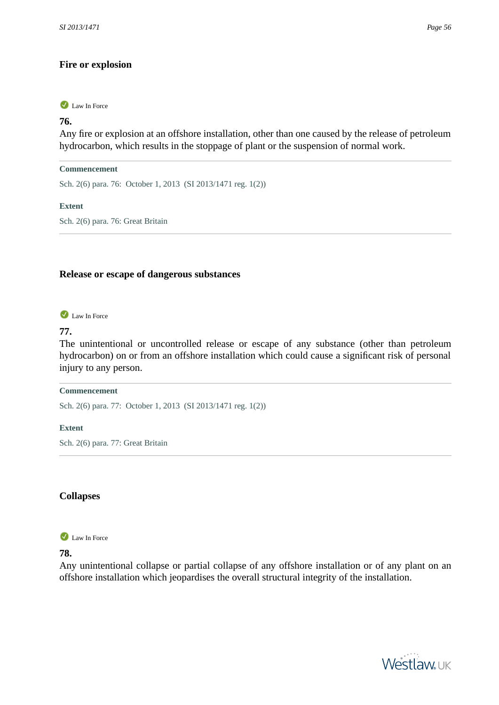# **Fire or explosion**



# **76.**

Any fire or explosion at an offshore installation, other than one caused by the release of petroleum hydrocarbon, which results in the stoppage of plant or the suspension of normal work.

## **Commencement**

Sch. 2(6) para. 76: October 1, 2013 (SI 2013/1471 reg. 1(2))

## **Extent**

Sch. 2(6) para. 76: Great Britain

## **Release or escape of dangerous substances**

Law In Force

# **77.**

The unintentional or uncontrolled release or escape of any substance (other than petroleum hydrocarbon) on or from an offshore installation which could cause a significant risk of personal injury to any person.

## **Commencement**

Sch. 2(6) para. 77: October 1, 2013 (SI 2013/1471 reg. 1(2))

## **Extent**

Sch. 2(6) para. 77: Great Britain

# **Collapses**

## Law In Force

## **78.**

Any unintentional collapse or partial collapse of any offshore installation or of any plant on an offshore installation which jeopardises the overall structural integrity of the installation.

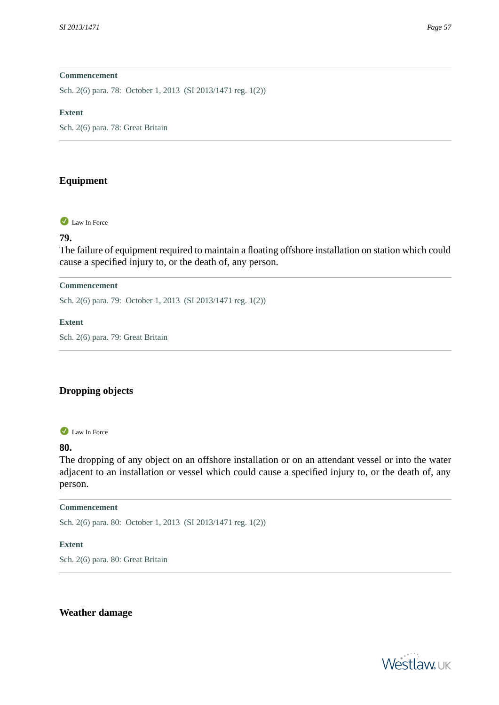Sch. 2(6) para. 78: October 1, 2013 (SI 2013/1471 reg. 1(2))

#### **Extent**

Sch. 2(6) para. 78: Great Britain

## **Equipment**



# **79.**

The failure of equipment required to maintain a floating offshore installation on station which could cause a specified injury to, or the death of, any person.

### **Commencement**

Sch. 2(6) para. 79: October 1, 2013 (SI 2013/1471 reg. 1(2))

### **Extent**

Sch. 2(6) para. 79: Great Britain

# **Dropping objects**

# Law In Force

## **80.**

The dropping of any object on an offshore installation or on an attendant vessel or into the water adjacent to an installation or vessel which could cause a specified injury to, or the death of, any person.

#### **Commencement**

Sch. 2(6) para. 80: October 1, 2013 (SI 2013/1471 reg. 1(2))

### **Extent**

Sch. 2(6) para. 80: Great Britain

# **Weather damage**

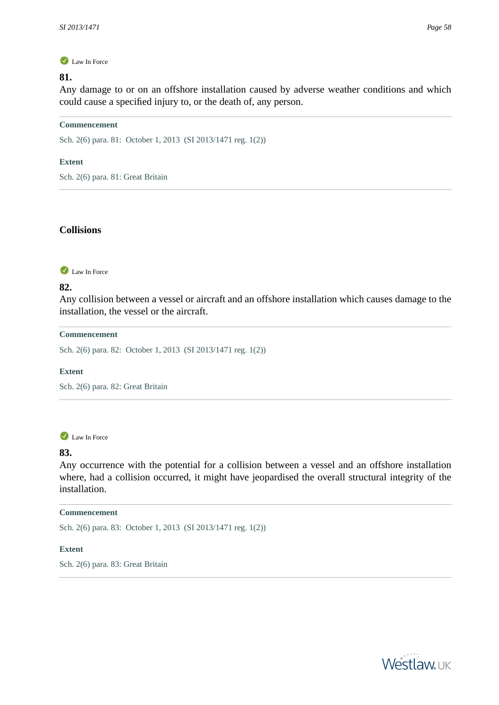## **81.**

Any damage to or on an offshore installation caused by adverse weather conditions and which could cause a specified injury to, or the death of, any person.

#### **Commencement**

Sch. 2(6) para. 81: October 1, 2013 (SI 2013/1471 reg. 1(2))

### **Extent**

Sch. 2(6) para. 81: Great Britain

# **Collisions**



### **82.**

Any collision between a vessel or aircraft and an offshore installation which causes damage to the installation, the vessel or the aircraft.

#### **Commencement**

Sch. 2(6) para. 82: October 1, 2013 (SI 2013/1471 reg. 1(2))

#### **Extent**

Sch. 2(6) para. 82: Great Britain



## **83.**

Any occurrence with the potential for a collision between a vessel and an offshore installation where, had a collision occurred, it might have jeopardised the overall structural integrity of the installation.

#### **Commencement**

Sch. 2(6) para. 83: October 1, 2013 (SI 2013/1471 reg. 1(2))

#### **Extent**

Sch. 2(6) para. 83: Great Britain

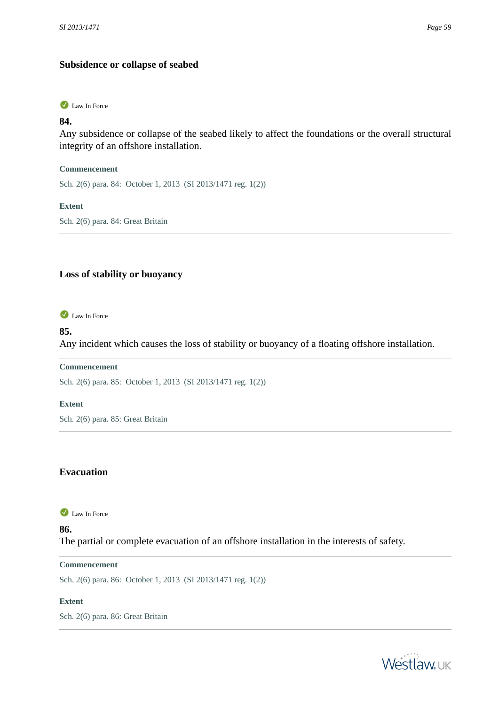# **Subsidence or collapse of seabed**

Law In Force

## **84.**

Any subsidence or collapse of the seabed likely to affect the foundations or the overall structural integrity of an offshore installation.

#### **Commencement**

Sch. 2(6) para. 84: October 1, 2013 (SI 2013/1471 reg. 1(2))

## **Extent**

Sch. 2(6) para. 84: Great Britain

# **Loss of stability or buoyancy**

Law In Force

## **85.**

Any incident which causes the loss of stability or buoyancy of a floating offshore installation.

## **Commencement**

Sch. 2(6) para. 85: October 1, 2013 (SI 2013/1471 reg. 1(2))

## **Extent**

Sch. 2(6) para. 85: Great Britain

# **Evacuation**

### Law In Force

### **86.**

The partial or complete evacuation of an offshore installation in the interests of safety.

## **Commencement**

Sch. 2(6) para. 86: October 1, 2013 (SI 2013/1471 reg. 1(2))

# **Extent**

Sch. 2(6) para. 86: Great Britain

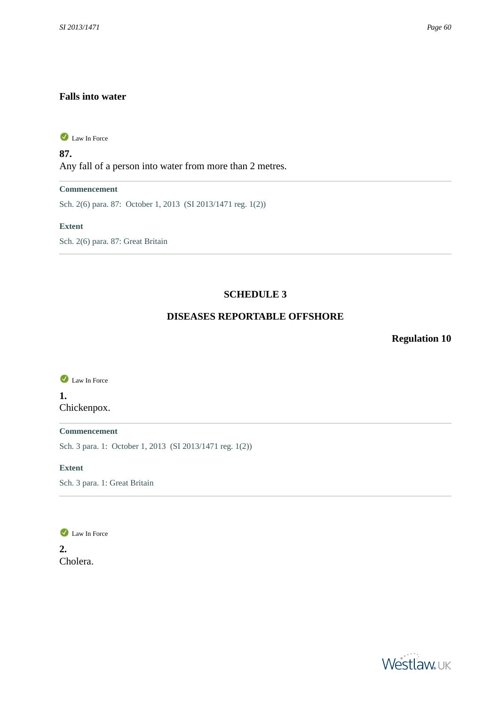# **Falls into water**

Law In Force

**87.**  Any fall of a person into water from more than 2 metres.

**Commencement** Sch. 2(6) para. 87: October 1, 2013 (SI 2013/1471 reg. 1(2))

**Extent** Sch. 2(6) para. 87: Great Britain

# **SCHEDULE 3**

# **DISEASES REPORTABLE OFFSHORE**

**Regulation 10**

Law In Force

**1.**  Chickenpox.

**Commencement**

Sch. 3 para. 1: October 1, 2013 (SI 2013/1471 reg. 1(2))

**Extent**

Sch. 3 para. 1: Great Britain

Law In Force

**2.**  Cholera.

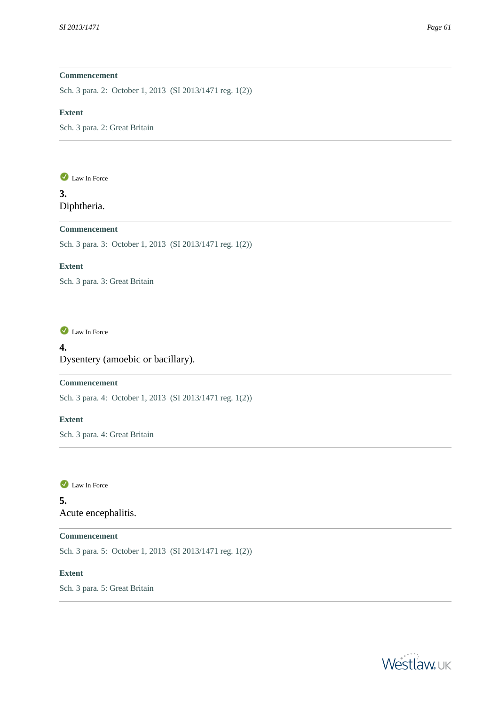Sch. 3 para. 2: October 1, 2013 (SI 2013/1471 reg. 1(2))

#### **Extent**

Sch. 3 para. 2: Great Britain

# Law In Force

# **3.**  Diphtheria.

# **Commencement**

Sch. 3 para. 3: October 1, 2013 (SI 2013/1471 reg. 1(2))

#### **Extent**

Sch. 3 para. 3: Great Britain

# Law In Force

# **4.**  Dysentery (amoebic or bacillary).

# **Commencement**

Sch. 3 para. 4: October 1, 2013 (SI 2013/1471 reg. 1(2))

## **Extent**

Sch. 3 para. 4: Great Britain

Law In Force

# **5.**  Acute encephalitis.

## **Commencement**

Sch. 3 para. 5: October 1, 2013 (SI 2013/1471 reg. 1(2))

### **Extent**

Sch. 3 para. 5: Great Britain

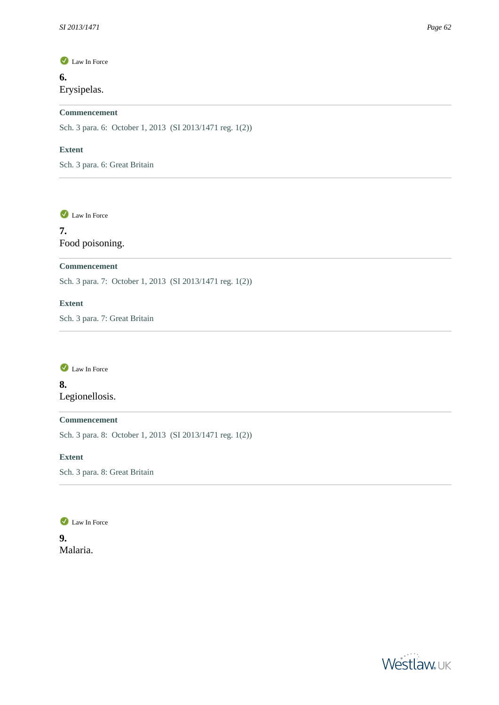# **6.**  Erysipelas.

### **Commencement**

Sch. 3 para. 6: October 1, 2013 (SI 2013/1471 reg. 1(2))

### **Extent**

Sch. 3 para. 6: Great Britain

Law In Force

# **7.**  Food poisoning.

## **Commencement**

Sch. 3 para. 7: October 1, 2013 (SI 2013/1471 reg. 1(2))

#### **Extent**

Sch. 3 para. 7: Great Britain



**8.**  Legionellosis.

# **Commencement**

Sch. 3 para. 8: October 1, 2013 (SI 2013/1471 reg. 1(2))

**Extent**

Sch. 3 para. 8: Great Britain

Law In Force

**9.**  Malaria.

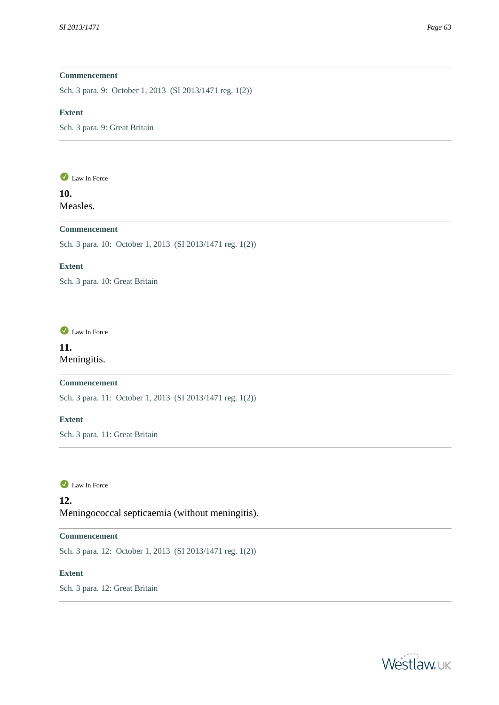Sch. 3 para. 9: October 1, 2013 (SI 2013/1471 reg. 1(2))

#### **Extent**

Sch. 3 para. 9: Great Britain

# Law In Force

# **10.**  Measles.

# **Commencement**

Sch. 3 para. 10: October 1, 2013 (SI 2013/1471 reg. 1(2))

#### **Extent**

Sch. 3 para. 10: Great Britain

## Law In Force

# **11.**  Meningitis.

# **Commencement**

Sch. 3 para. 11: October 1, 2013 (SI 2013/1471 reg. 1(2))

## **Extent**

Sch. 3 para. 11: Great Britain

# Law In Force

# **12.**

Meningococcal septicaemia (without meningitis).

## **Commencement**

Sch. 3 para. 12: October 1, 2013 (SI 2013/1471 reg. 1(2))

# **Extent**

Sch. 3 para. 12: Great Britain

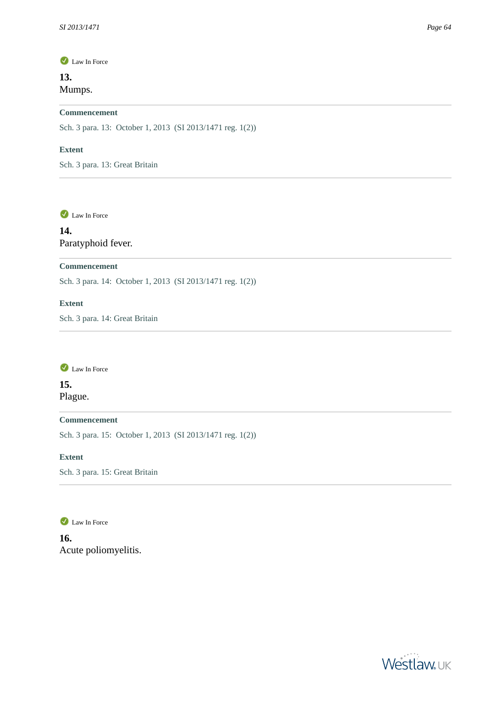# **13.**  Mumps.

#### **Commencement**

Sch. 3 para. 13: October 1, 2013 (SI 2013/1471 reg. 1(2))

#### **Extent**

Sch. 3 para. 13: Great Britain

Law In Force

**14.**  Paratyphoid fever.

## **Commencement**

Sch. 3 para. 14: October 1, 2013 (SI 2013/1471 reg. 1(2))

#### **Extent**

Sch. 3 para. 14: Great Britain



**15.**  Plague.

# **Commencement**

Sch. 3 para. 15: October 1, 2013 (SI 2013/1471 reg. 1(2))

**Extent**

Sch. 3 para. 15: Great Britain

Law In Force

**16.**  Acute poliomyelitis.

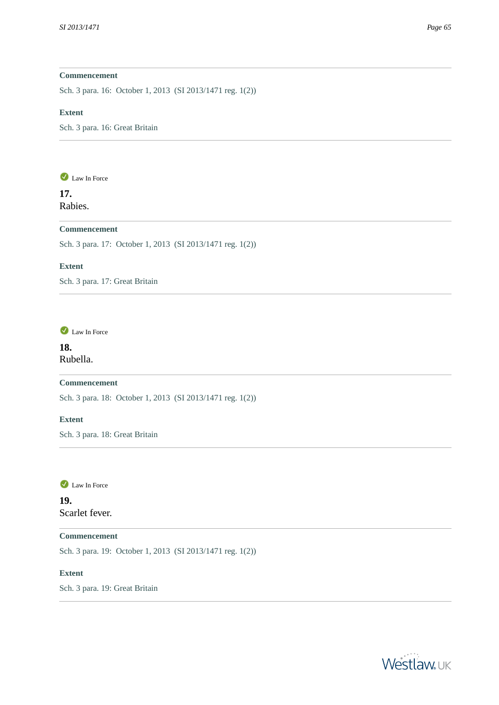Sch. 3 para. 16: October 1, 2013 (SI 2013/1471 reg. 1(2))

#### **Extent**

Sch. 3 para. 16: Great Britain

Law In Force

# **17.**  Rabies.

## **Commencement**

Sch. 3 para. 17: October 1, 2013 (SI 2013/1471 reg. 1(2))

#### **Extent**

Sch. 3 para. 17: Great Britain

## Law In Force

## **18.**  Rubella.

#### **Commencement**

Sch. 3 para. 18: October 1, 2013 (SI 2013/1471 reg. 1(2))

## **Extent**

Sch. 3 para. 18: Great Britain

Law In Force

# **19.**  Scarlet fever.

## **Commencement**

Sch. 3 para. 19: October 1, 2013 (SI 2013/1471 reg. 1(2))

## **Extent**

Sch. 3 para. 19: Great Britain

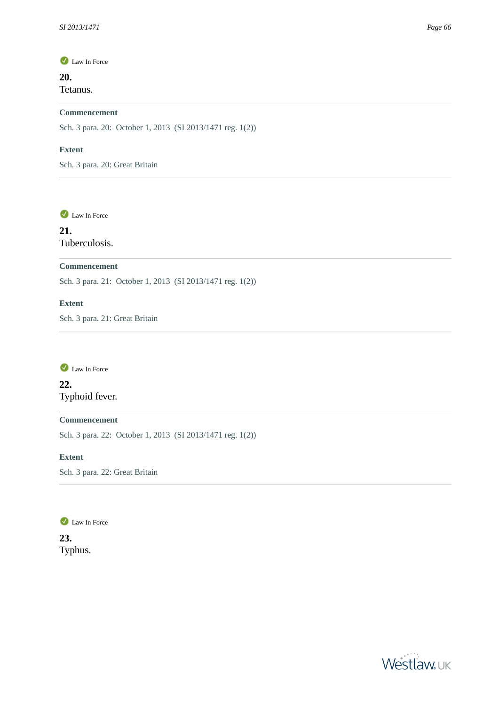# **20.**  Tetanus.

#### **Commencement**

Sch. 3 para. 20: October 1, 2013 (SI 2013/1471 reg. 1(2))

#### **Extent**

Sch. 3 para. 20: Great Britain

Law In Force

**21.**  Tuberculosis.

#### **Commencement**

Sch. 3 para. 21: October 1, 2013 (SI 2013/1471 reg. 1(2))

#### **Extent**

Sch. 3 para. 21: Great Britain



**22.**  Typhoid fever.

# **Commencement**

Sch. 3 para. 22: October 1, 2013 (SI 2013/1471 reg. 1(2))

**Extent**

Sch. 3 para. 22: Great Britain

Law In Force

**23.**  Typhus.

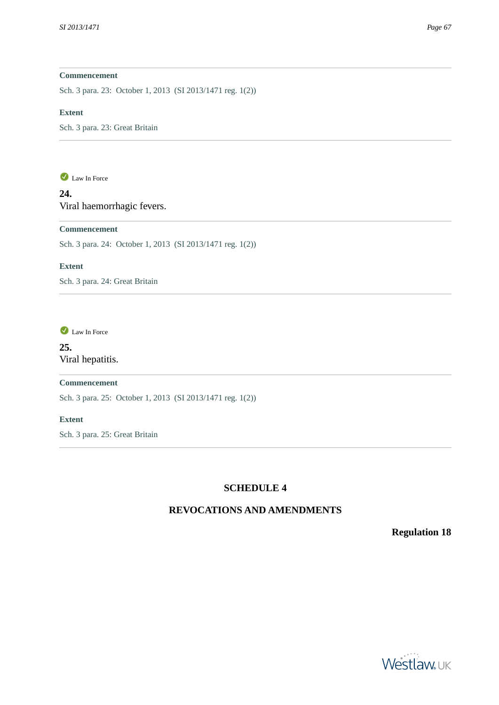Sch. 3 para. 23: October 1, 2013 (SI 2013/1471 reg. 1(2))

#### **Extent**

Sch. 3 para. 23: Great Britain

# Law In Force

**24.**  Viral haemorrhagic fevers.

## **Commencement**

Sch. 3 para. 24: October 1, 2013 (SI 2013/1471 reg. 1(2))

#### **Extent**

Sch. 3 para. 24: Great Britain

## Law In Force

# **25.**  Viral hepatitis.

# **Commencement**

Sch. 3 para. 25: October 1, 2013 (SI 2013/1471 reg. 1(2))

## **Extent**

Sch. 3 para. 25: Great Britain

# **SCHEDULE 4**

# **REVOCATIONS AND AMENDMENTS**

**Regulation 18**

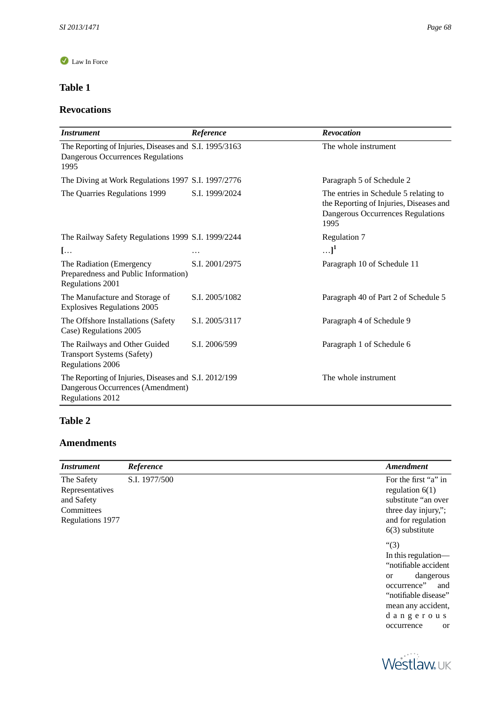# **Table 1**

# **Revocations**

| <i><b>Instrument</b></i>                                                                                       | Reference      | <b>Revocation</b>                                                                                                             |
|----------------------------------------------------------------------------------------------------------------|----------------|-------------------------------------------------------------------------------------------------------------------------------|
| The Reporting of Injuries, Diseases and S.I. 1995/3163<br>Dangerous Occurrences Regulations<br>1995            |                | The whole instrument                                                                                                          |
| The Diving at Work Regulations 1997 S.I. 1997/2776                                                             |                | Paragraph 5 of Schedule 2                                                                                                     |
| The Quarries Regulations 1999                                                                                  | S.I. 1999/2024 | The entries in Schedule 5 relating to<br>the Reporting of Injuries, Diseases and<br>Dangerous Occurrences Regulations<br>1995 |
| The Railway Safety Regulations 1999 S.I. 1999/2244                                                             |                | Regulation 7                                                                                                                  |
| []                                                                                                             |                | $\ldots$ ] <sup>1</sup>                                                                                                       |
| The Radiation (Emergency<br>Preparedness and Public Information)<br>Regulations 2001                           | S.I. 2001/2975 | Paragraph 10 of Schedule 11                                                                                                   |
| The Manufacture and Storage of<br><b>Explosives Regulations 2005</b>                                           | S.I. 2005/1082 | Paragraph 40 of Part 2 of Schedule 5                                                                                          |
| The Offshore Installations (Safety<br>Case) Regulations 2005                                                   | S.I. 2005/3117 | Paragraph 4 of Schedule 9                                                                                                     |
| The Railways and Other Guided<br><b>Transport Systems (Safety)</b><br>Regulations 2006                         | S.I. 2006/599  | Paragraph 1 of Schedule 6                                                                                                     |
| The Reporting of Injuries, Diseases and S.I. 2012/199<br>Dangerous Occurrences (Amendment)<br>Regulations 2012 |                | The whole instrument                                                                                                          |

# **Table 2**

# **Amendments**

| <i>Instrument</i>                                                             | Reference     | Amendment                                                                                                                                                                             |
|-------------------------------------------------------------------------------|---------------|---------------------------------------------------------------------------------------------------------------------------------------------------------------------------------------|
| The Safety<br>Representatives<br>and Safety<br>Committees<br>Regulations 1977 | S.I. 1977/500 | For the first "a" in<br>regulation $6(1)$<br>substitute "an over<br>three day injury,";<br>and for regulation<br>$6(3)$ substitute                                                    |
|                                                                               |               | (3)<br>In this regulation—<br>"notifiable accident<br>dangerous<br>or<br>occurrence"<br>and<br>"notifiable disease"<br>mean any accident,<br>dangerous<br>occurrence<br><sub>or</sub> |

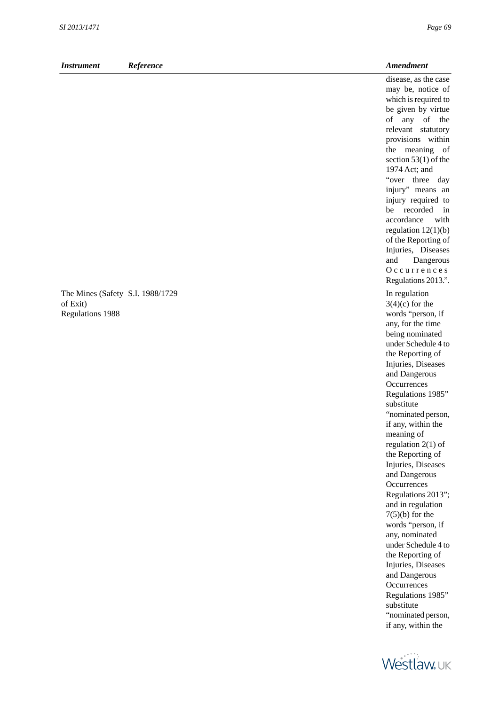| <b>Instrument</b>                                                 | Reference | <b>Amendment</b>                                                                                                                                                                                                                                                                                                                                                                                                                                                                                                                                                                                                                                                 |
|-------------------------------------------------------------------|-----------|------------------------------------------------------------------------------------------------------------------------------------------------------------------------------------------------------------------------------------------------------------------------------------------------------------------------------------------------------------------------------------------------------------------------------------------------------------------------------------------------------------------------------------------------------------------------------------------------------------------------------------------------------------------|
|                                                                   |           | disease, as the case<br>may be, notice of<br>which is required to<br>be given by virtue<br>of any of the<br>relevant statutory<br>provisions within<br>the meaning of<br>section $53(1)$ of the<br>1974 Act; and<br>"over three day<br>injury" means an<br>injury required to<br>recorded<br>be<br>in<br>accordance<br>with<br>regulation $12(1)(b)$<br>of the Reporting of<br>Injuries, Diseases<br>and<br>Dangerous<br>Occurrences<br>Regulations 2013.".                                                                                                                                                                                                      |
| The Mines (Safety S.I. 1988/1729)<br>of Exit)<br>Regulations 1988 |           | In regulation<br>$3(4)(c)$ for the<br>words "person, if<br>any, for the time<br>being nominated<br>under Schedule 4 to<br>the Reporting of<br>Injuries, Diseases<br>and Dangerous<br>Occurrences<br>Regulations 1985"<br>substitute<br>"nominated person,<br>if any, within the<br>meaning of<br>regulation $2(1)$ of<br>the Reporting of<br>Injuries, Diseases<br>and Dangerous<br>Occurrences<br>Regulations 2013";<br>and in regulation<br>$7(5)(b)$ for the<br>words "person, if<br>any, nominated<br>under Schedule 4 to<br>the Reporting of<br>Injuries, Diseases<br>and Dangerous<br>Occurrences<br>Regulations 1985"<br>substitute<br>"nominated person, |

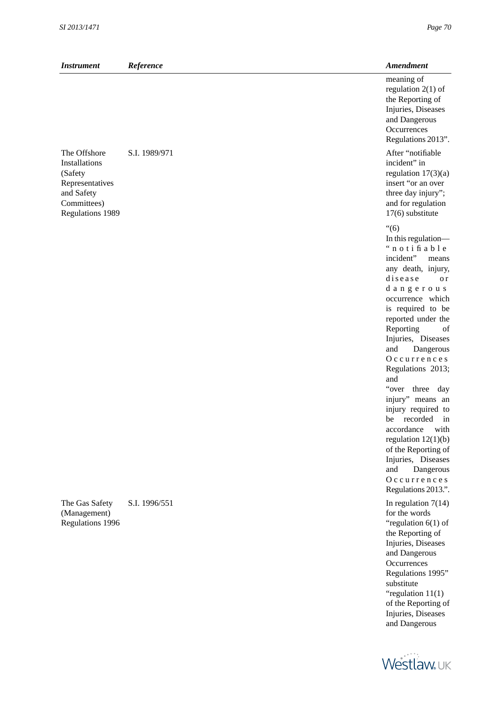| <i><b>Instrument</b></i>                                                                                     | Reference     | <b>Amendment</b>                                                                                                                                                                                                                                                                                                                                                                                                                                                                                                                     |
|--------------------------------------------------------------------------------------------------------------|---------------|--------------------------------------------------------------------------------------------------------------------------------------------------------------------------------------------------------------------------------------------------------------------------------------------------------------------------------------------------------------------------------------------------------------------------------------------------------------------------------------------------------------------------------------|
|                                                                                                              |               | meaning of<br>regulation $2(1)$ of<br>the Reporting of<br>Injuries, Diseases<br>and Dangerous<br>Occurrences<br>Regulations 2013".                                                                                                                                                                                                                                                                                                                                                                                                   |
| The Offshore<br>Installations<br>(Safety<br>Representatives<br>and Safety<br>Committees)<br>Regulations 1989 | S.I. 1989/971 | After "notifiable<br>incident" in<br>regulation $17(3)(a)$<br>insert "or an over<br>three day injury";<br>and for regulation<br>17(6) substitute                                                                                                                                                                                                                                                                                                                                                                                     |
|                                                                                                              |               | (6)<br>In this regulation-<br>"notifiable<br>incident"<br>means<br>any death, injury,<br>disease<br>o r<br>dangerous<br>occurrence which<br>is required to be<br>reported under the<br>Reporting<br>of<br>Injuries, Diseases<br>and<br>Dangerous<br>Occurrences<br>Regulations 2013;<br>and<br>"over three"<br>day<br>injury" means an<br>injury required to<br>be recorded<br>in<br>accordance with<br>regulation $12(1)(b)$<br>of the Reporting of<br>Injuries, Diseases<br>and<br>Dangerous<br>Occurrences<br>Regulations 2013.". |
| The Gas Safety<br>(Management)<br>Regulations 1996                                                           | S.I. 1996/551 | In regulation $7(14)$<br>for the words<br>"regulation $6(1)$ of<br>the Reporting of<br>Injuries, Diseases<br>and Dangerous<br>Occurrences<br>Regulations 1995"<br>substitute<br>"regulation $11(1)$<br>of the Reporting of<br>Injuries, Diseases<br>and Dangerous                                                                                                                                                                                                                                                                    |

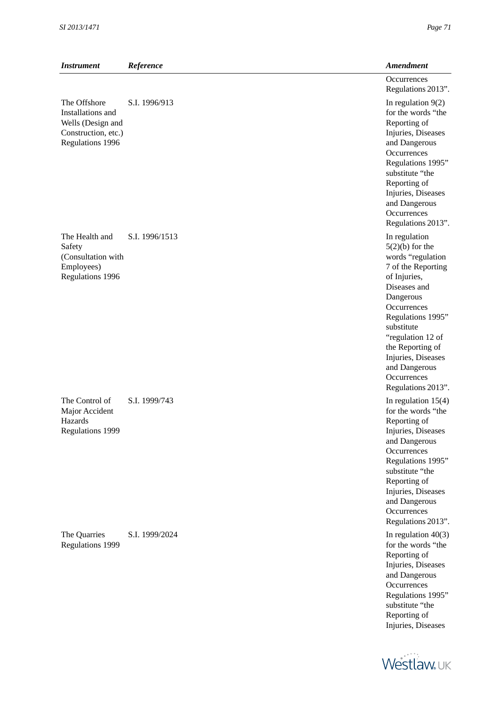| <i><b>Instrument</b></i>                                                                          | Reference      | <b>Amendment</b>                                                                                                                                                                                                                                                                                  |
|---------------------------------------------------------------------------------------------------|----------------|---------------------------------------------------------------------------------------------------------------------------------------------------------------------------------------------------------------------------------------------------------------------------------------------------|
|                                                                                                   |                | Occurrences<br>Regulations 2013".                                                                                                                                                                                                                                                                 |
| The Offshore<br>Installations and<br>Wells (Design and<br>Construction, etc.)<br>Regulations 1996 | S.I. 1996/913  | In regulation $9(2)$<br>for the words "the<br>Reporting of<br>Injuries, Diseases<br>and Dangerous<br>Occurrences<br>Regulations 1995"<br>substitute "the<br>Reporting of<br>Injuries, Diseases<br>and Dangerous<br>Occurrences<br>Regulations 2013".                                              |
| The Health and<br>Safety<br>(Consultation with<br>Employees)<br>Regulations 1996                  | S.I. 1996/1513 | In regulation<br>$5(2)(b)$ for the<br>words "regulation<br>7 of the Reporting<br>of Injuries,<br>Diseases and<br>Dangerous<br>Occurrences<br>Regulations 1995"<br>substitute<br>"regulation 12 of<br>the Reporting of<br>Injuries, Diseases<br>and Dangerous<br>Occurrences<br>Regulations 2013". |
| The Control of<br>Major Accident<br>Hazards<br>Regulations 1999                                   | S.I. 1999/743  | In regulation $15(4)$<br>for the words "the<br>Reporting of<br>Injuries, Diseases<br>and Dangerous<br>Occurrences<br>Regulations 1995"<br>substitute "the<br>Reporting of<br>Injuries, Diseases<br>and Dangerous<br>Occurrences<br>Regulations 2013".                                             |
| The Quarries<br>Regulations 1999                                                                  | S.I. 1999/2024 | In regulation $40(3)$<br>for the words "the<br>Reporting of<br>Injuries, Diseases<br>and Dangerous<br>Occurrences<br>Regulations 1995"<br>substitute "the<br>$D$ another $\alpha$ <sup>f</sup>                                                                                                    |

Reporting of Injuries, Diseases

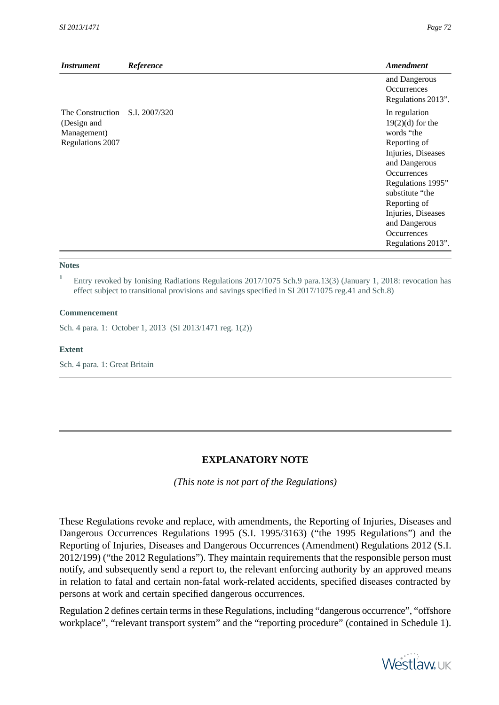| <i>Instrument</i>                                                  | Reference     | Amendment                                                                                                                                                                                                                                                   |
|--------------------------------------------------------------------|---------------|-------------------------------------------------------------------------------------------------------------------------------------------------------------------------------------------------------------------------------------------------------------|
|                                                                    |               | and Dangerous<br><b>Occurrences</b><br>Regulations 2013".                                                                                                                                                                                                   |
| The Construction<br>(Design and<br>Management)<br>Regulations 2007 | S.I. 2007/320 | In regulation<br>$19(2)(d)$ for the<br>words "the<br>Reporting of<br>Injuries, Diseases<br>and Dangerous<br>Occurrences<br>Regulations 1995"<br>substitute "the<br>Reporting of<br>Injuries, Diseases<br>and Dangerous<br>Occurrences<br>Regulations 2013". |

#### **Notes**

<sup>1</sup> Entry revoked by Ionising Radiations Regulations 2017/1075 Sch.9 para.13(3) (January 1, 2018: revocation has effect subject to transitional provisions and savings specified in SI 2017/1075 reg.41 and Sch.8)

#### **Commencement**

Sch. 4 para. 1: October 1, 2013 (SI 2013/1471 reg. 1(2))

**Extent**

Sch. 4 para. 1: Great Britain

## **EXPLANATORY NOTE**

*(This note is not part of the Regulations)*

These Regulations revoke and replace, with amendments, the Reporting of Injuries, Diseases and Dangerous Occurrences Regulations 1995 (S.I. 1995/3163) ("the 1995 Regulations") and the Reporting of Injuries, Diseases and Dangerous Occurrences (Amendment) Regulations 2012 (S.I. 2012/199) ("the 2012 Regulations"). They maintain requirements that the responsible person must notify, and subsequently send a report to, the relevant enforcing authority by an approved means in relation to fatal and certain non-fatal work-related accidents, specified diseases contracted by persons at work and certain specified dangerous occurrences.

Regulation 2 defines certain terms in these Regulations, including "dangerous occurrence", "offshore workplace", "relevant transport system" and the "reporting procedure" (contained in Schedule 1).

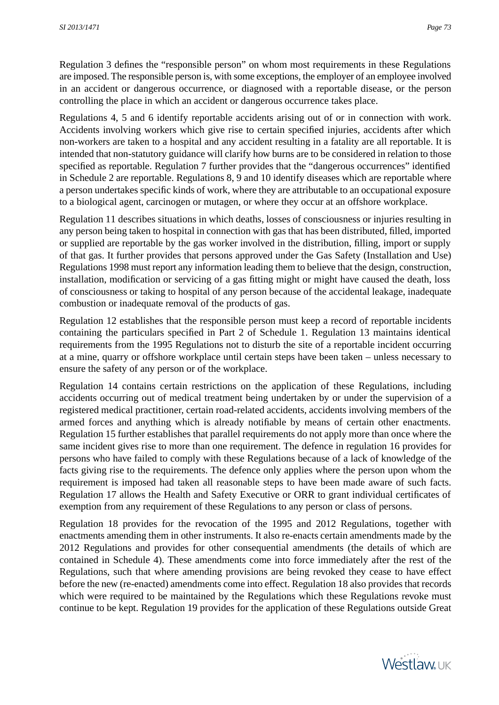Regulation 3 defines the "responsible person" on whom most requirements in these Regulations are imposed. The responsible person is, with some exceptions, the employer of an employee involved in an accident or dangerous occurrence, or diagnosed with a reportable disease, or the person controlling the place in which an accident or dangerous occurrence takes place.

Regulations 4, 5 and 6 identify reportable accidents arising out of or in connection with work. Accidents involving workers which give rise to certain specified injuries, accidents after which non-workers are taken to a hospital and any accident resulting in a fatality are all reportable. It is intended that non-statutory guidance will clarify how burns are to be considered in relation to those specified as reportable. Regulation 7 further provides that the "dangerous occurrences" identified in Schedule 2 are reportable. Regulations 8, 9 and 10 identify diseases which are reportable where a person undertakes specific kinds of work, where they are attributable to an occupational exposure to a biological agent, carcinogen or mutagen, or where they occur at an offshore workplace.

Regulation 11 describes situations in which deaths, losses of consciousness or injuries resulting in any person being taken to hospital in connection with gas that has been distributed, filled, imported or supplied are reportable by the gas worker involved in the distribution, filling, import or supply of that gas. It further provides that persons approved under the Gas Safety (Installation and Use) Regulations 1998 must report any information leading them to believe that the design, construction, installation, modification or servicing of a gas fitting might or might have caused the death, loss of consciousness or taking to hospital of any person because of the accidental leakage, inadequate combustion or inadequate removal of the products of gas.

Regulation 12 establishes that the responsible person must keep a record of reportable incidents containing the particulars specified in Part 2 of Schedule 1. Regulation 13 maintains identical requirements from the 1995 Regulations not to disturb the site of a reportable incident occurring at a mine, quarry or offshore workplace until certain steps have been taken – unless necessary to ensure the safety of any person or of the workplace.

Regulation 14 contains certain restrictions on the application of these Regulations, including accidents occurring out of medical treatment being undertaken by or under the supervision of a registered medical practitioner, certain road-related accidents, accidents involving members of the armed forces and anything which is already notifiable by means of certain other enactments. Regulation 15 further establishes that parallel requirements do not apply more than once where the same incident gives rise to more than one requirement. The defence in regulation 16 provides for persons who have failed to comply with these Regulations because of a lack of knowledge of the facts giving rise to the requirements. The defence only applies where the person upon whom the requirement is imposed had taken all reasonable steps to have been made aware of such facts. Regulation 17 allows the Health and Safety Executive or ORR to grant individual certificates of exemption from any requirement of these Regulations to any person or class of persons.

Regulation 18 provides for the revocation of the 1995 and 2012 Regulations, together with enactments amending them in other instruments. It also re-enacts certain amendments made by the 2012 Regulations and provides for other consequential amendments (the details of which are contained in Schedule 4). These amendments come into force immediately after the rest of the Regulations, such that where amending provisions are being revoked they cease to have effect before the new (re-enacted) amendments come into effect. Regulation 18 also provides that records which were required to be maintained by the Regulations which these Regulations revoke must continue to be kept. Regulation 19 provides for the application of these Regulations outside Great

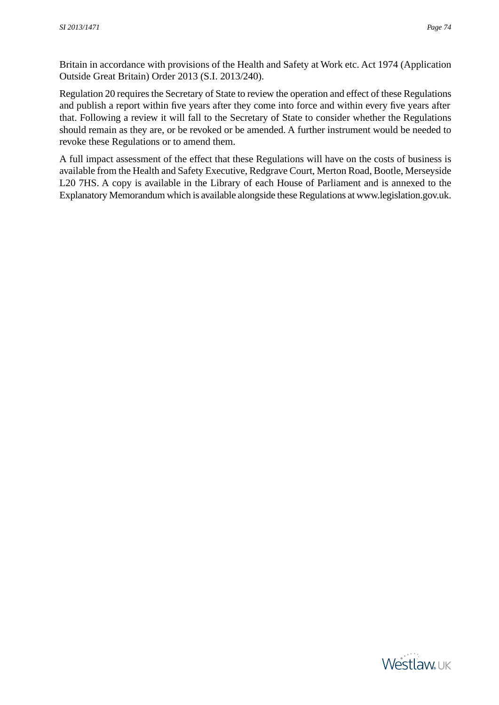Britain in accordance with provisions of the Health and Safety at Work etc. Act 1974 (Application Outside Great Britain) Order 2013 (S.I. 2013/240).

Regulation 20 requires the Secretary of State to review the operation and effect of these Regulations and publish a report within five years after they come into force and within every five years after that. Following a review it will fall to the Secretary of State to consider whether the Regulations should remain as they are, or be revoked or be amended. A further instrument would be needed to revoke these Regulations or to amend them.

A full impact assessment of the effect that these Regulations will have on the costs of business is available from the Health and Safety Executive, Redgrave Court, Merton Road, Bootle, Merseyside L20 7HS. A copy is available in the Library of each House of Parliament and is annexed to the Explanatory Memorandum which is available alongside these Regulations at www.legislation.gov.uk.

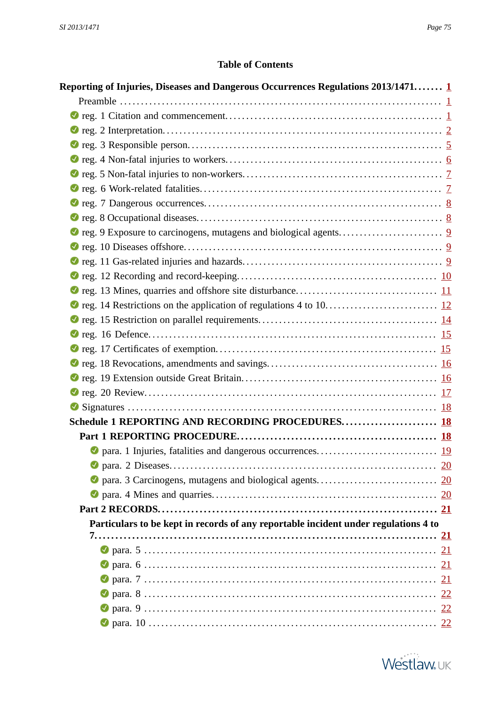## **Table of Contents**

<span id="page-74-0"></span>

| Reporting of Injuries, Diseases and Dangerous Occurrences Regulations 2013/1471 1   |           |
|-------------------------------------------------------------------------------------|-----------|
|                                                                                     |           |
|                                                                                     |           |
|                                                                                     |           |
|                                                                                     |           |
|                                                                                     |           |
|                                                                                     |           |
|                                                                                     |           |
|                                                                                     |           |
|                                                                                     |           |
|                                                                                     |           |
|                                                                                     |           |
|                                                                                     |           |
|                                                                                     |           |
|                                                                                     |           |
|                                                                                     |           |
|                                                                                     |           |
|                                                                                     |           |
|                                                                                     |           |
|                                                                                     |           |
|                                                                                     |           |
|                                                                                     |           |
|                                                                                     |           |
| Schedule 1 REPORTING AND RECORDING PROCEDURES 18                                    |           |
|                                                                                     |           |
| para. 1 Injuries, fatalities and dangerous occurrences                              | <u>19</u> |
|                                                                                     |           |
|                                                                                     |           |
|                                                                                     |           |
|                                                                                     |           |
| Particulars to be kept in records of any reportable incident under regulations 4 to |           |
|                                                                                     |           |
|                                                                                     |           |
|                                                                                     |           |
|                                                                                     |           |
|                                                                                     |           |
|                                                                                     |           |
|                                                                                     |           |

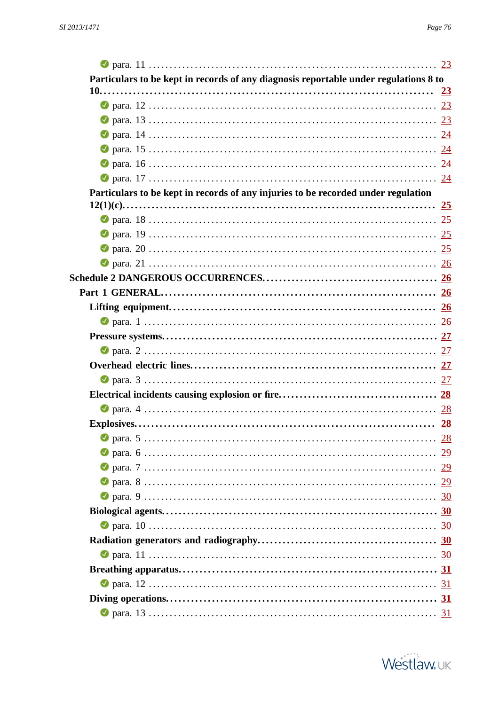| Particulars to be kept in records of any diagnosis reportable under regulations 8 to |  |
|--------------------------------------------------------------------------------------|--|
|                                                                                      |  |
|                                                                                      |  |
|                                                                                      |  |
|                                                                                      |  |
|                                                                                      |  |
|                                                                                      |  |
|                                                                                      |  |
| Particulars to be kept in records of any injuries to be recorded under regulation    |  |
|                                                                                      |  |
|                                                                                      |  |
|                                                                                      |  |
|                                                                                      |  |
|                                                                                      |  |
|                                                                                      |  |
|                                                                                      |  |
|                                                                                      |  |
|                                                                                      |  |
|                                                                                      |  |
|                                                                                      |  |
|                                                                                      |  |
|                                                                                      |  |
|                                                                                      |  |
|                                                                                      |  |
|                                                                                      |  |
|                                                                                      |  |
|                                                                                      |  |
|                                                                                      |  |
|                                                                                      |  |
|                                                                                      |  |
|                                                                                      |  |
|                                                                                      |  |
|                                                                                      |  |
|                                                                                      |  |
|                                                                                      |  |
|                                                                                      |  |
|                                                                                      |  |
|                                                                                      |  |

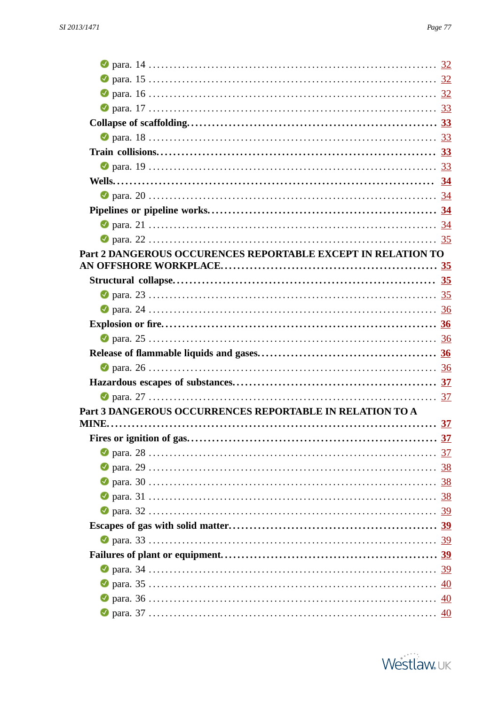| Part 2 DANGEROUS OCCURENCES REPORTABLE EXCEPT IN RELATION TO |  |
|--------------------------------------------------------------|--|
|                                                              |  |
|                                                              |  |
|                                                              |  |
|                                                              |  |
|                                                              |  |
|                                                              |  |
|                                                              |  |
|                                                              |  |
|                                                              |  |
|                                                              |  |
| Part 3 DANGEROUS OCCURRENCES REPORTABLE IN RELATION TO A     |  |
|                                                              |  |
|                                                              |  |
|                                                              |  |
|                                                              |  |
|                                                              |  |
|                                                              |  |
|                                                              |  |
|                                                              |  |
|                                                              |  |
|                                                              |  |
|                                                              |  |
|                                                              |  |
|                                                              |  |
|                                                              |  |

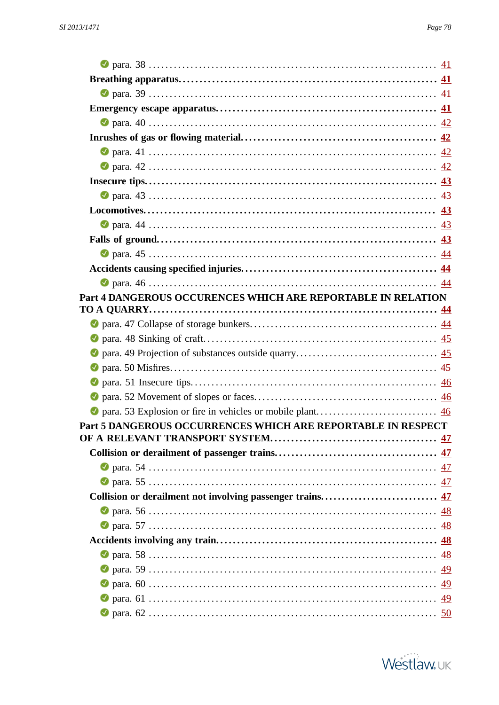| Part 4 DANGEROUS OCCURENCES WHICH ARE REPORTABLE IN RELATION |  |
|--------------------------------------------------------------|--|
|                                                              |  |
|                                                              |  |
|                                                              |  |
|                                                              |  |
|                                                              |  |
|                                                              |  |
|                                                              |  |
|                                                              |  |
| Part 5 DANGEROUS OCCURRENCES WHICH ARE REPORTABLE IN RESPECT |  |
|                                                              |  |
|                                                              |  |
|                                                              |  |
|                                                              |  |
|                                                              |  |
|                                                              |  |
|                                                              |  |
|                                                              |  |
|                                                              |  |
|                                                              |  |
|                                                              |  |
|                                                              |  |
|                                                              |  |

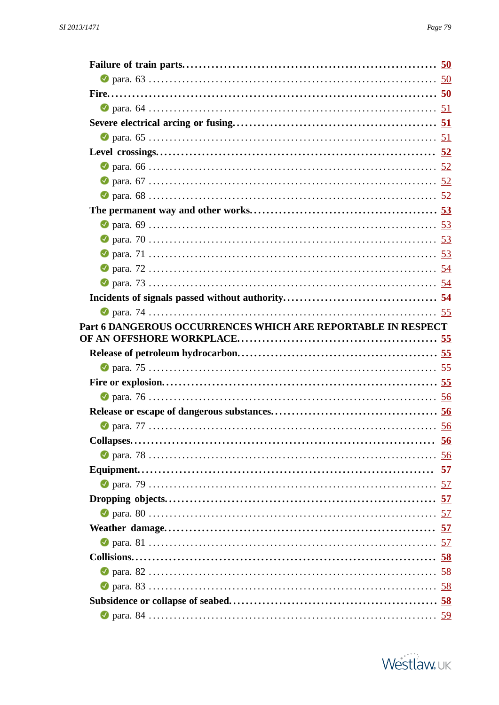| Part 6 DANGEROUS OCCURRENCES WHICH ARE REPORTABLE IN RESPECT |    |
|--------------------------------------------------------------|----|
|                                                              |    |
|                                                              |    |
|                                                              |    |
|                                                              |    |
|                                                              |    |
|                                                              |    |
|                                                              |    |
|                                                              |    |
|                                                              |    |
|                                                              |    |
|                                                              | 57 |
|                                                              |    |
|                                                              |    |
|                                                              |    |
|                                                              |    |
|                                                              |    |
|                                                              |    |
|                                                              |    |
|                                                              |    |
|                                                              |    |